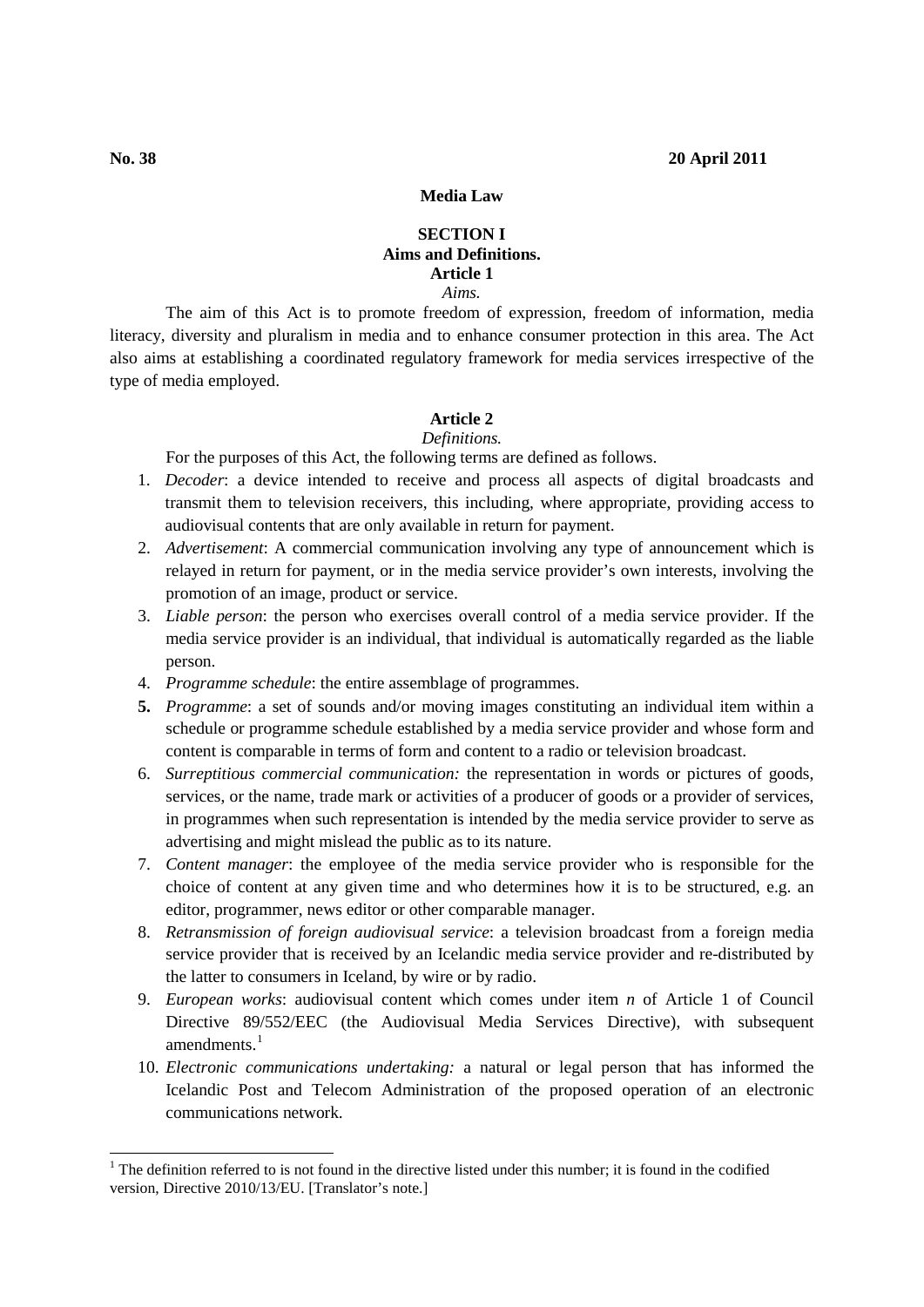## **Media Law**

## **SECTION I Aims and Definitions. Article 1** *Aims.*

The aim of this Act is to promote freedom of expression, freedom of information, media literacy, diversity and pluralism in media and to enhance consumer protection in this area. The Act also aims at establishing a coordinated regulatory framework for media services irrespective of the type of media employed.

# **Article 2**

# *Definitions.*

For the purposes of this Act, the following terms are defined as follows.

- 1. *Decoder*: a device intended to receive and process all aspects of digital broadcasts and transmit them to television receivers, this including, where appropriate, providing access to audiovisual contents that are only available in return for payment.
- 2. *Advertisement*: A commercial communication involving any type of announcement which is relayed in return for payment, or in the media service provider's own interests, involving the promotion of an image, product or service.
- 3. *Liable person*: the person who exercises overall control of a media service provider. If the media service provider is an individual, that individual is automatically regarded as the liable person.
- 4. *Programme schedule*: the entire assemblage of programmes.
- **5.** *Programme*: a set of sounds and/or moving images constituting an individual item within a schedule or programme schedule established by a media service provider and whose form and content is comparable in terms of form and content to a radio or television broadcast.
- 6. *Surreptitious commercial communication:* the representation in words or pictures of goods, services, or the name, trade mark or activities of a producer of goods or a provider of services, in programmes when such representation is intended by the media service provider to serve as advertising and might mislead the public as to its nature.
- 7. *Content manager*: the employee of the media service provider who is responsible for the choice of content at any given time and who determines how it is to be structured, e.g. an editor, programmer, news editor or other comparable manager.
- 8. *Retransmission of foreign audiovisual service*: a television broadcast from a foreign media service provider that is received by an Icelandic media service provider and re-distributed by the latter to consumers in Iceland, by wire or by radio.
- 9. *European works*: audiovisual content which comes under item *n* of Article 1 of Council Directive 89/552/EEC (the Audiovisual Media Services Directive), with subsequent amendments.<sup>[1](#page-0-0)</sup>
- 10. *Electronic communications undertaking:* a natural or legal person that has informed the Icelandic Post and Telecom Administration of the proposed operation of an electronic communications network.

<span id="page-0-0"></span><sup>&</sup>lt;sup>1</sup> The definition referred to is not found in the directive listed under this number; it is found in the codified version, Directive 2010/13/EU. [Translator's note.]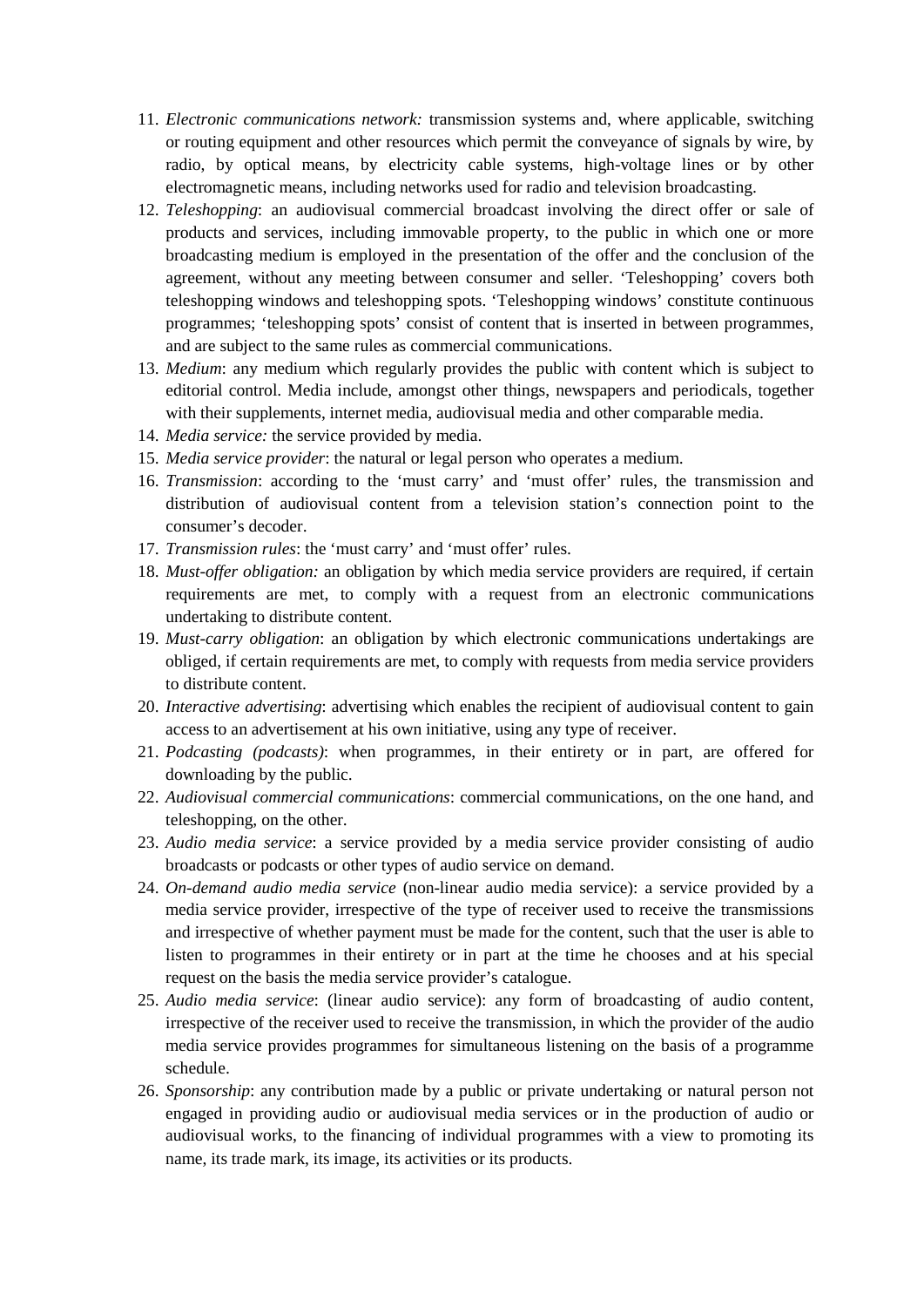- 11. *Electronic communications network:* transmission systems and, where applicable, switching or routing equipment and other resources which permit the conveyance of signals by wire, by radio, by optical means, by electricity cable systems, high-voltage lines or by other electromagnetic means, including networks used for radio and television broadcasting.
- 12. *Teleshopping*: an audiovisual commercial broadcast involving the direct offer or sale of products and services, including immovable property, to the public in which one or more broadcasting medium is employed in the presentation of the offer and the conclusion of the agreement, without any meeting between consumer and seller. 'Teleshopping' covers both teleshopping windows and teleshopping spots. 'Teleshopping windows' constitute continuous programmes; 'teleshopping spots' consist of content that is inserted in between programmes, and are subject to the same rules as commercial communications.
- 13. *Medium*: any medium which regularly provides the public with content which is subject to editorial control. Media include, amongst other things, newspapers and periodicals, together with their supplements, internet media, audiovisual media and other comparable media.
- 14. *Media service:* the service provided by media.
- 15. *Media service provider*: the natural or legal person who operates a medium.
- 16. *Transmission*: according to the 'must carry' and 'must offer' rules, the transmission and distribution of audiovisual content from a television station's connection point to the consumer's decoder.
- 17. *Transmission rules*: the 'must carry' and 'must offer' rules.
- 18. *Must-offer obligation:* an obligation by which media service providers are required, if certain requirements are met, to comply with a request from an electronic communications undertaking to distribute content.
- 19. *Must-carry obligation*: an obligation by which electronic communications undertakings are obliged, if certain requirements are met, to comply with requests from media service providers to distribute content.
- 20. *Interactive advertising*: advertising which enables the recipient of audiovisual content to gain access to an advertisement at his own initiative, using any type of receiver.
- 21. *Podcasting (podcasts)*: when programmes, in their entirety or in part, are offered for downloading by the public.
- 22. *Audiovisual commercial communications*: commercial communications, on the one hand, and teleshopping, on the other.
- 23. *Audio media service*: a service provided by a media service provider consisting of audio broadcasts or podcasts or other types of audio service on demand.
- 24. *On-demand audio media service* (non-linear audio media service): a service provided by a media service provider, irrespective of the type of receiver used to receive the transmissions and irrespective of whether payment must be made for the content, such that the user is able to listen to programmes in their entirety or in part at the time he chooses and at his special request on the basis the media service provider's catalogue.
- 25. *Audio media service*: (linear audio service): any form of broadcasting of audio content, irrespective of the receiver used to receive the transmission, in which the provider of the audio media service provides programmes for simultaneous listening on the basis of a programme schedule.
- 26. *Sponsorship*: any contribution made by a public or private undertaking or natural person not engaged in providing audio or audiovisual media services or in the production of audio or audiovisual works, to the financing of individual programmes with a view to promoting its name, its trade mark, its image, its activities or its products.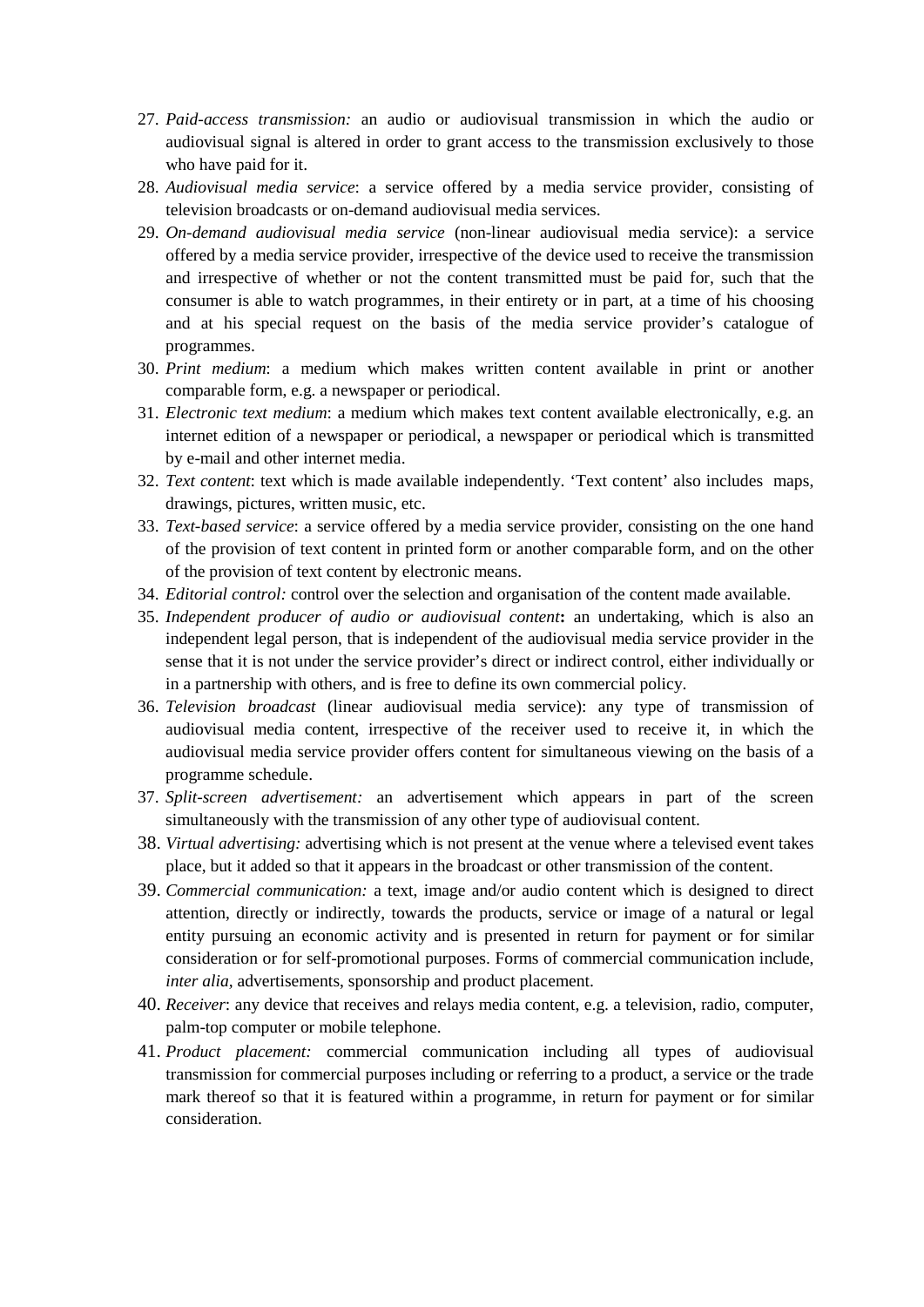- 27. *Paid-access transmission:* an audio or audiovisual transmission in which the audio or audiovisual signal is altered in order to grant access to the transmission exclusively to those who have paid for it.
- 28. *Audiovisual media service*: a service offered by a media service provider, consisting of television broadcasts or on-demand audiovisual media services.
- 29. *On-demand audiovisual media service* (non-linear audiovisual media service): a service offered by a media service provider, irrespective of the device used to receive the transmission and irrespective of whether or not the content transmitted must be paid for, such that the consumer is able to watch programmes, in their entirety or in part, at a time of his choosing and at his special request on the basis of the media service provider's catalogue of programmes.
- 30. *Print medium*: a medium which makes written content available in print or another comparable form, e.g. a newspaper or periodical.
- 31. *Electronic text medium*: a medium which makes text content available electronically, e.g. an internet edition of a newspaper or periodical, a newspaper or periodical which is transmitted by e-mail and other internet media.
- 32. *Text content*: text which is made available independently. 'Text content' also includes maps, drawings, pictures, written music, etc.
- 33. *Text-based service*: a service offered by a media service provider, consisting on the one hand of the provision of text content in printed form or another comparable form, and on the other of the provision of text content by electronic means.
- 34. *Editorial control:* control over the selection and organisation of the content made available.
- 35. *Independent producer of audio or audiovisual content***:** an undertaking, which is also an independent legal person, that is independent of the audiovisual media service provider in the sense that it is not under the service provider's direct or indirect control, either individually or in a partnership with others, and is free to define its own commercial policy.
- 36. *Television broadcast* (linear audiovisual media service): any type of transmission of audiovisual media content, irrespective of the receiver used to receive it, in which the audiovisual media service provider offers content for simultaneous viewing on the basis of a programme schedule.
- 37. *Split-screen advertisement:* an advertisement which appears in part of the screen simultaneously with the transmission of any other type of audiovisual content.
- 38. *Virtual advertising:* advertising which is not present at the venue where a televised event takes place, but it added so that it appears in the broadcast or other transmission of the content.
- 39. *Commercial communication:* a text, image and/or audio content which is designed to direct attention, directly or indirectly, towards the products, service or image of a natural or legal entity pursuing an economic activity and is presented in return for payment or for similar consideration or for self-promotional purposes. Forms of commercial communication include, *inter alia,* advertisements, sponsorship and product placement.
- 40. *Receiver*: any device that receives and relays media content, e.g. a television, radio, computer, palm-top computer or mobile telephone.
- 41. *Product placement:* commercial communication including all types of audiovisual transmission for commercial purposes including or referring to a product, a service or the trade mark thereof so that it is featured within a programme, in return for payment or for similar consideration.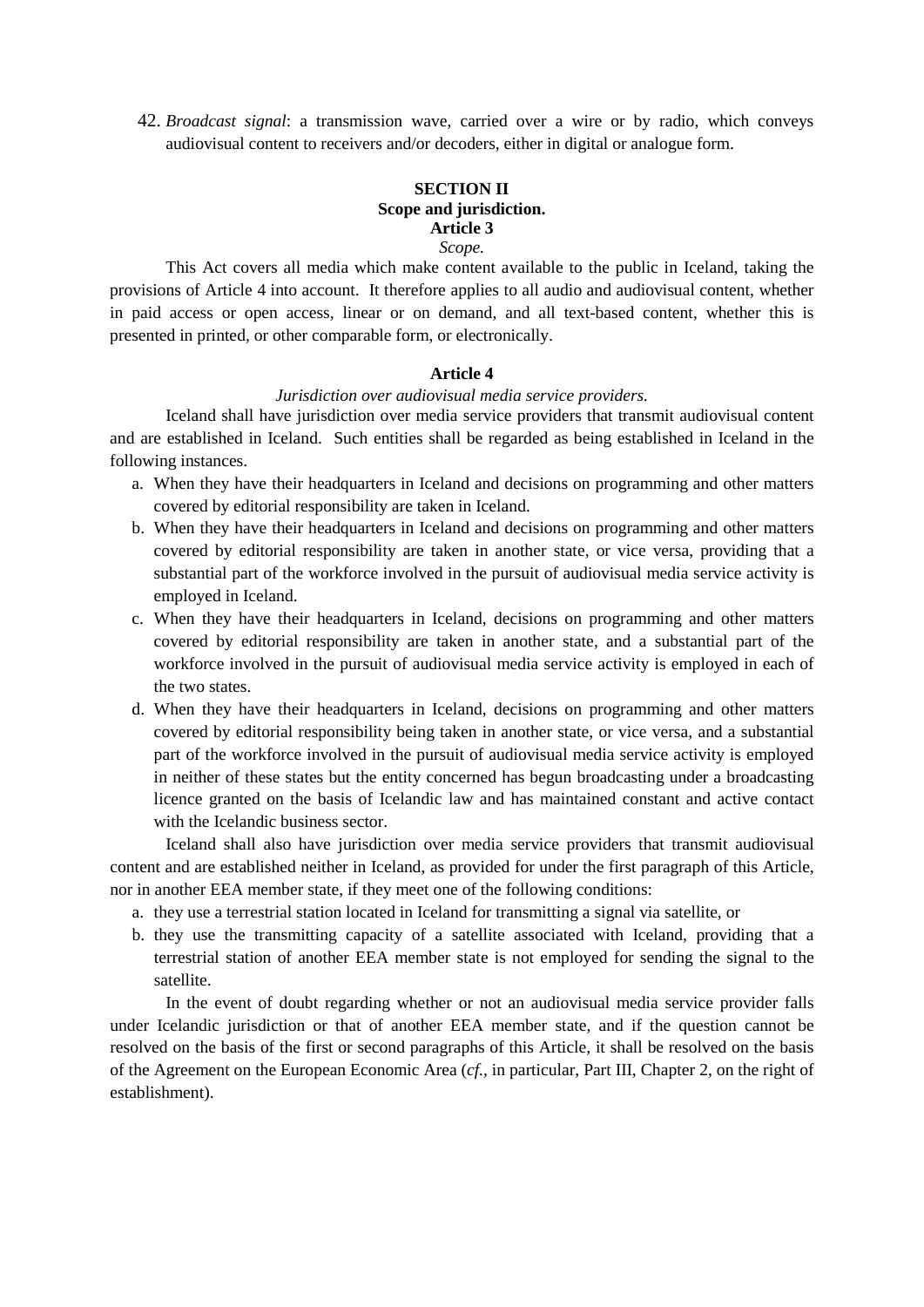42. *Broadcast signal*: a transmission wave, carried over a wire or by radio, which conveys audiovisual content to receivers and/or decoders, either in digital or analogue form.

# **SECTION II Scope and jurisdiction. Article 3**

### *Scope.*

This Act covers all media which make content available to the public in Iceland, taking the provisions of Article 4 into account. It therefore applies to all audio and audiovisual content, whether in paid access or open access, linear or on demand, and all text-based content, whether this is presented in printed, or other comparable form, or electronically.

#### **Article 4**

#### *Jurisdiction over audiovisual media service providers.*

Iceland shall have jurisdiction over media service providers that transmit audiovisual content and are established in Iceland. Such entities shall be regarded as being established in Iceland in the following instances.

- a. When they have their headquarters in Iceland and decisions on programming and other matters covered by editorial responsibility are taken in Iceland.
- b. When they have their headquarters in Iceland and decisions on programming and other matters covered by editorial responsibility are taken in another state, or vice versa, providing that a substantial part of the workforce involved in the pursuit of audiovisual media service activity is employed in Iceland.
- c. When they have their headquarters in Iceland, decisions on programming and other matters covered by editorial responsibility are taken in another state, and a substantial part of the workforce involved in the pursuit of audiovisual media service activity is employed in each of the two states.
- d. When they have their headquarters in Iceland, decisions on programming and other matters covered by editorial responsibility being taken in another state, or vice versa, and a substantial part of the workforce involved in the pursuit of audiovisual media service activity is employed in neither of these states but the entity concerned has begun broadcasting under a broadcasting licence granted on the basis of Icelandic law and has maintained constant and active contact with the Icelandic business sector.

Iceland shall also have jurisdiction over media service providers that transmit audiovisual content and are established neither in Iceland, as provided for under the first paragraph of this Article, nor in another EEA member state, if they meet one of the following conditions:

- a. they use a terrestrial station located in Iceland for transmitting a signal via satellite, or
- b. they use the transmitting capacity of a satellite associated with Iceland, providing that a terrestrial station of another EEA member state is not employed for sending the signal to the satellite.

In the event of doubt regarding whether or not an audiovisual media service provider falls under Icelandic jurisdiction or that of another EEA member state, and if the question cannot be resolved on the basis of the first or second paragraphs of this Article, it shall be resolved on the basis of the Agreement on the European Economic Area (*cf.,* in particular, Part III, Chapter 2, on the right of establishment).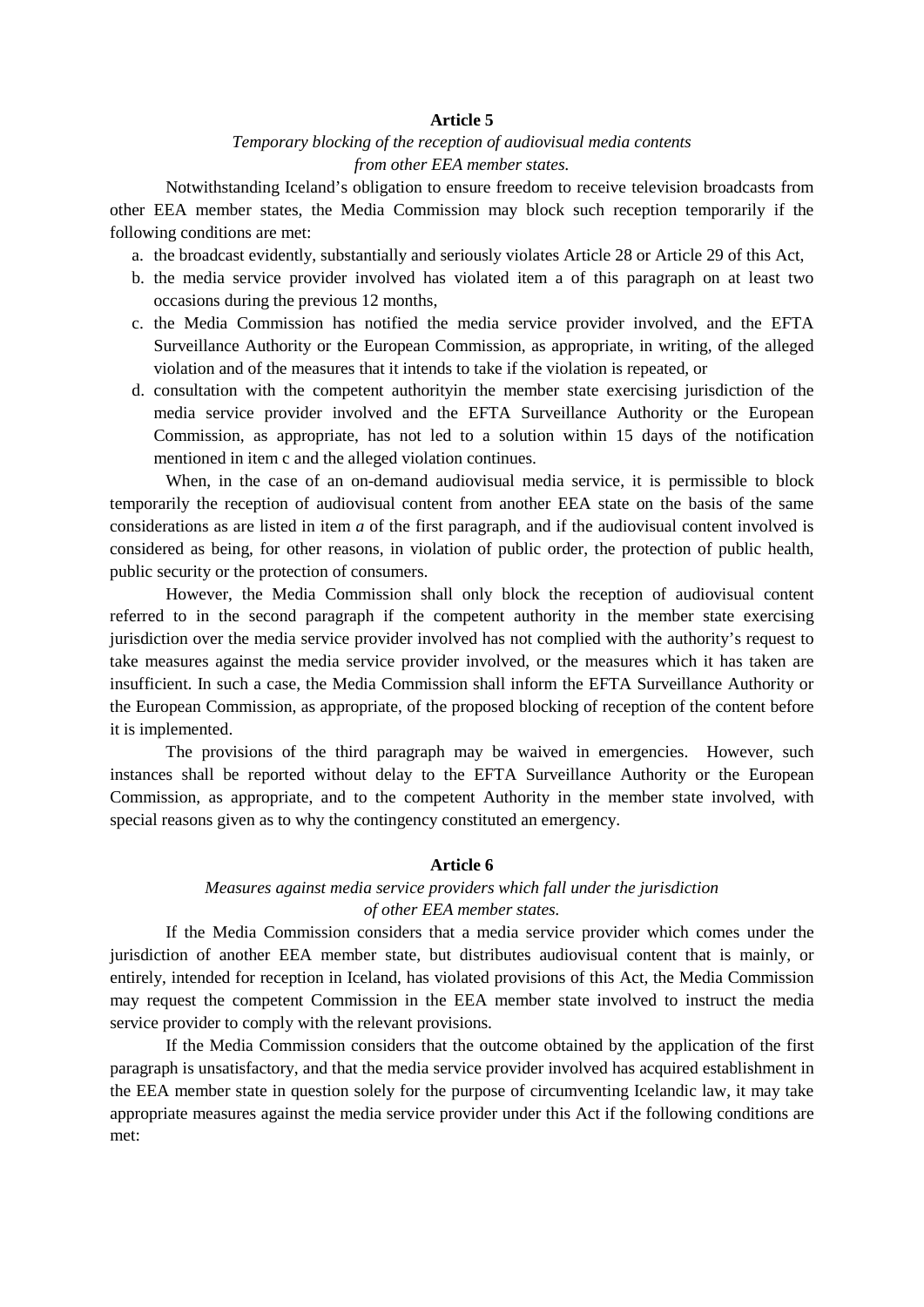# *Temporary blocking of the reception of audiovisual media contents from other EEA member states.*

Notwithstanding Iceland's obligation to ensure freedom to receive television broadcasts from other EEA member states, the Media Commission may block such reception temporarily if the following conditions are met:

- a. the broadcast evidently, substantially and seriously violates Article 28 or Article 29 of this Act,
- b. the media service provider involved has violated item a of this paragraph on at least two occasions during the previous 12 months,
- c. the Media Commission has notified the media service provider involved, and the EFTA Surveillance Authority or the European Commission, as appropriate, in writing, of the alleged violation and of the measures that it intends to take if the violation is repeated, or
- d. consultation with the competent authorityin the member state exercising jurisdiction of the media service provider involved and the EFTA Surveillance Authority or the European Commission, as appropriate, has not led to a solution within 15 days of the notification mentioned in item c and the alleged violation continues.

When, in the case of an on-demand audiovisual media service, it is permissible to block temporarily the reception of audiovisual content from another EEA state on the basis of the same considerations as are listed in item *a* of the first paragraph, and if the audiovisual content involved is considered as being, for other reasons, in violation of public order, the protection of public health, public security or the protection of consumers.

However, the Media Commission shall only block the reception of audiovisual content referred to in the second paragraph if the competent authority in the member state exercising jurisdiction over the media service provider involved has not complied with the authority's request to take measures against the media service provider involved, or the measures which it has taken are insufficient. In such a case, the Media Commission shall inform the EFTA Surveillance Authority or the European Commission, as appropriate, of the proposed blocking of reception of the content before it is implemented.

The provisions of the third paragraph may be waived in emergencies. However, such instances shall be reported without delay to the EFTA Surveillance Authority or the European Commission, as appropriate, and to the competent Authority in the member state involved, with special reasons given as to why the contingency constituted an emergency.

## **Article 6**

# *Measures against media service providers which fall under the jurisdiction of other EEA member states.*

If the Media Commission considers that a media service provider which comes under the jurisdiction of another EEA member state, but distributes audiovisual content that is mainly, or entirely, intended for reception in Iceland, has violated provisions of this Act, the Media Commission may request the competent Commission in the EEA member state involved to instruct the media service provider to comply with the relevant provisions.

If the Media Commission considers that the outcome obtained by the application of the first paragraph is unsatisfactory, and that the media service provider involved has acquired establishment in the EEA member state in question solely for the purpose of circumventing Icelandic law, it may take appropriate measures against the media service provider under this Act if the following conditions are met: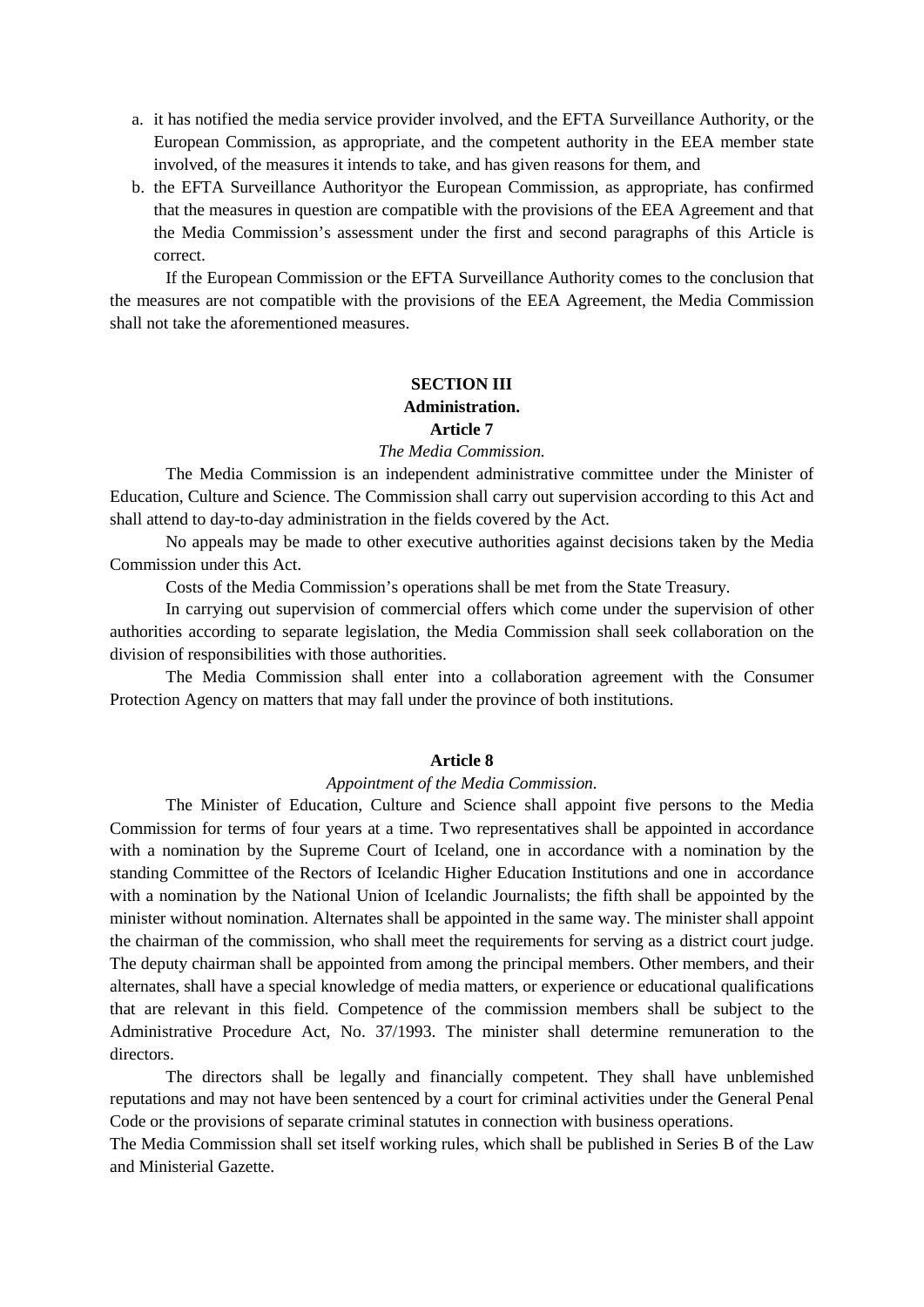- a. it has notified the media service provider involved, and the EFTA Surveillance Authority, or the European Commission, as appropriate, and the competent authority in the EEA member state involved, of the measures it intends to take, and has given reasons for them, and
- b. the EFTA Surveillance Authorityor the European Commission, as appropriate, has confirmed that the measures in question are compatible with the provisions of the EEA Agreement and that the Media Commission's assessment under the first and second paragraphs of this Article is correct.

If the European Commission or the EFTA Surveillance Authority comes to the conclusion that the measures are not compatible with the provisions of the EEA Agreement, the Media Commission shall not take the aforementioned measures.

# **SECTION III**

# **Administration.**

# **Article 7**

# *The Media Commission.*

The Media Commission is an independent administrative committee under the Minister of Education, Culture and Science. The Commission shall carry out supervision according to this Act and shall attend to day-to-day administration in the fields covered by the Act.

No appeals may be made to other executive authorities against decisions taken by the Media Commission under this Act.

Costs of the Media Commission's operations shall be met from the State Treasury.

In carrying out supervision of commercial offers which come under the supervision of other authorities according to separate legislation, the Media Commission shall seek collaboration on the division of responsibilities with those authorities.

The Media Commission shall enter into a collaboration agreement with the Consumer Protection Agency on matters that may fall under the province of both institutions.

# **Article 8**

# *Appointment of the Media Commission.*

The Minister of Education, Culture and Science shall appoint five persons to the Media Commission for terms of four years at a time. Two representatives shall be appointed in accordance with a nomination by the Supreme Court of Iceland, one in accordance with a nomination by the standing Committee of the Rectors of Icelandic Higher Education Institutions and one in accordance with a nomination by the National Union of Icelandic Journalists; the fifth shall be appointed by the minister without nomination. Alternates shall be appointed in the same way. The minister shall appoint the chairman of the commission, who shall meet the requirements for serving as a district court judge. The deputy chairman shall be appointed from among the principal members. Other members, and their alternates, shall have a special knowledge of media matters, or experience or educational qualifications that are relevant in this field. Competence of the commission members shall be subject to the Administrative Procedure Act, No. 37/1993. The minister shall determine remuneration to the directors.

The directors shall be legally and financially competent. They shall have unblemished reputations and may not have been sentenced by a court for criminal activities under the General Penal Code or the provisions of separate criminal statutes in connection with business operations.

The Media Commission shall set itself working rules, which shall be published in Series B of the Law and Ministerial Gazette.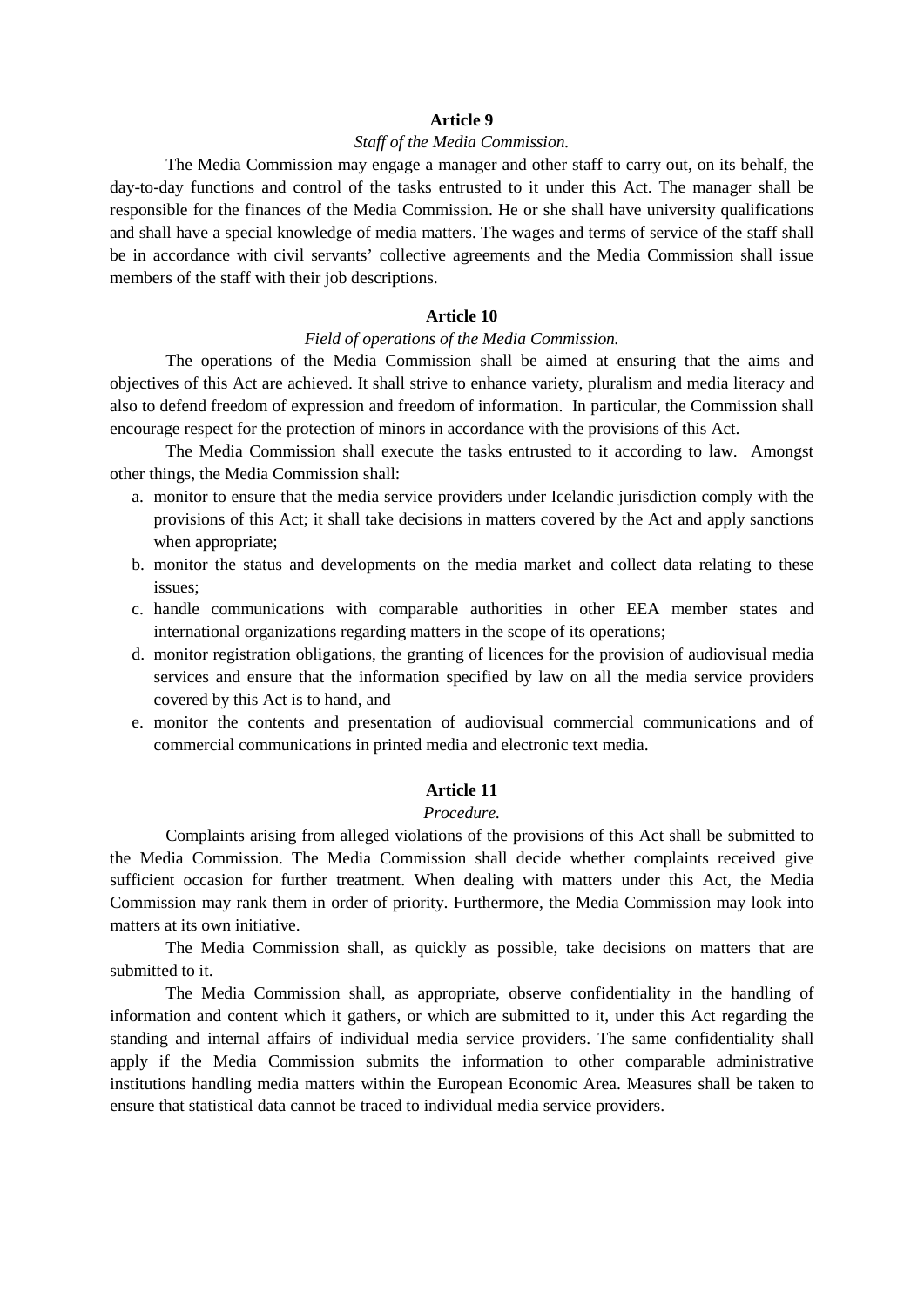## *Staff of the Media Commission.*

The Media Commission may engage a manager and other staff to carry out, on its behalf, the day-to-day functions and control of the tasks entrusted to it under this Act. The manager shall be responsible for the finances of the Media Commission. He or she shall have university qualifications and shall have a special knowledge of media matters. The wages and terms of service of the staff shall be in accordance with civil servants' collective agreements and the Media Commission shall issue members of the staff with their job descriptions.

## **Article 10**

## *Field of operations of the Media Commission.*

The operations of the Media Commission shall be aimed at ensuring that the aims and objectives of this Act are achieved. It shall strive to enhance variety, pluralism and media literacy and also to defend freedom of expression and freedom of information. In particular, the Commission shall encourage respect for the protection of minors in accordance with the provisions of this Act.

The Media Commission shall execute the tasks entrusted to it according to law. Amongst other things, the Media Commission shall:

- a. monitor to ensure that the media service providers under Icelandic jurisdiction comply with the provisions of this Act; it shall take decisions in matters covered by the Act and apply sanctions when appropriate:
- b. monitor the status and developments on the media market and collect data relating to these issues;
- c. handle communications with comparable authorities in other EEA member states and international organizations regarding matters in the scope of its operations;
- d. monitor registration obligations, the granting of licences for the provision of audiovisual media services and ensure that the information specified by law on all the media service providers covered by this Act is to hand, and
- e. monitor the contents and presentation of audiovisual commercial communications and of commercial communications in printed media and electronic text media.

## **Article 11**

## *Procedure.*

Complaints arising from alleged violations of the provisions of this Act shall be submitted to the Media Commission. The Media Commission shall decide whether complaints received give sufficient occasion for further treatment. When dealing with matters under this Act, the Media Commission may rank them in order of priority. Furthermore, the Media Commission may look into matters at its own initiative.

The Media Commission shall, as quickly as possible, take decisions on matters that are submitted to it.

The Media Commission shall, as appropriate, observe confidentiality in the handling of information and content which it gathers, or which are submitted to it, under this Act regarding the standing and internal affairs of individual media service providers. The same confidentiality shall apply if the Media Commission submits the information to other comparable administrative institutions handling media matters within the European Economic Area. Measures shall be taken to ensure that statistical data cannot be traced to individual media service providers.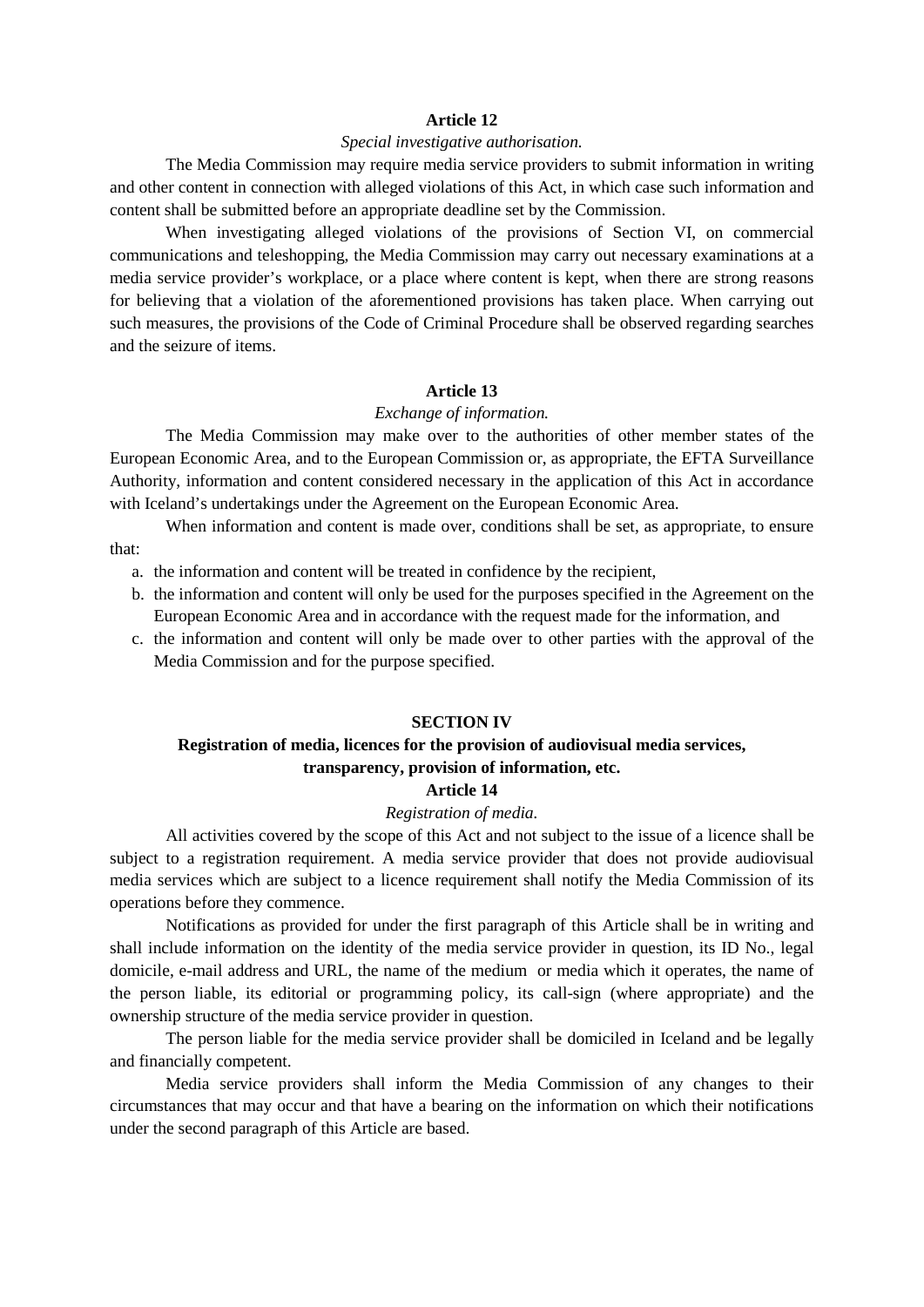## *Special investigative authorisation.*

The Media Commission may require media service providers to submit information in writing and other content in connection with alleged violations of this Act, in which case such information and content shall be submitted before an appropriate deadline set by the Commission.

When investigating alleged violations of the provisions of Section VI, on commercial communications and teleshopping, the Media Commission may carry out necessary examinations at a media service provider's workplace, or a place where content is kept, when there are strong reasons for believing that a violation of the aforementioned provisions has taken place. When carrying out such measures, the provisions of the Code of Criminal Procedure shall be observed regarding searches and the seizure of items.

#### **Article 13**

#### *Exchange of information.*

The Media Commission may make over to the authorities of other member states of the European Economic Area, and to the European Commission or, as appropriate, the EFTA Surveillance Authority, information and content considered necessary in the application of this Act in accordance with Iceland's undertakings under the Agreement on the European Economic Area.

When information and content is made over, conditions shall be set, as appropriate, to ensure that:

- a. the information and content will be treated in confidence by the recipient,
- b. the information and content will only be used for the purposes specified in the Agreement on the European Economic Area and in accordance with the request made for the information, and
- c. the information and content will only be made over to other parties with the approval of the Media Commission and for the purpose specified.

### **SECTION IV**

# **Registration of media, licences for the provision of audiovisual media services, transparency, provision of information, etc.**

# **Article 14**

# *Registration of media.*

All activities covered by the scope of this Act and not subject to the issue of a licence shall be subject to a registration requirement. A media service provider that does not provide audiovisual media services which are subject to a licence requirement shall notify the Media Commission of its operations before they commence.

Notifications as provided for under the first paragraph of this Article shall be in writing and shall include information on the identity of the media service provider in question, its ID No., legal domicile, e-mail address and URL, the name of the medium or media which it operates, the name of the person liable, its editorial or programming policy, its call-sign (where appropriate) and the ownership structure of the media service provider in question.

The person liable for the media service provider shall be domiciled in Iceland and be legally and financially competent.

Media service providers shall inform the Media Commission of any changes to their circumstances that may occur and that have a bearing on the information on which their notifications under the second paragraph of this Article are based.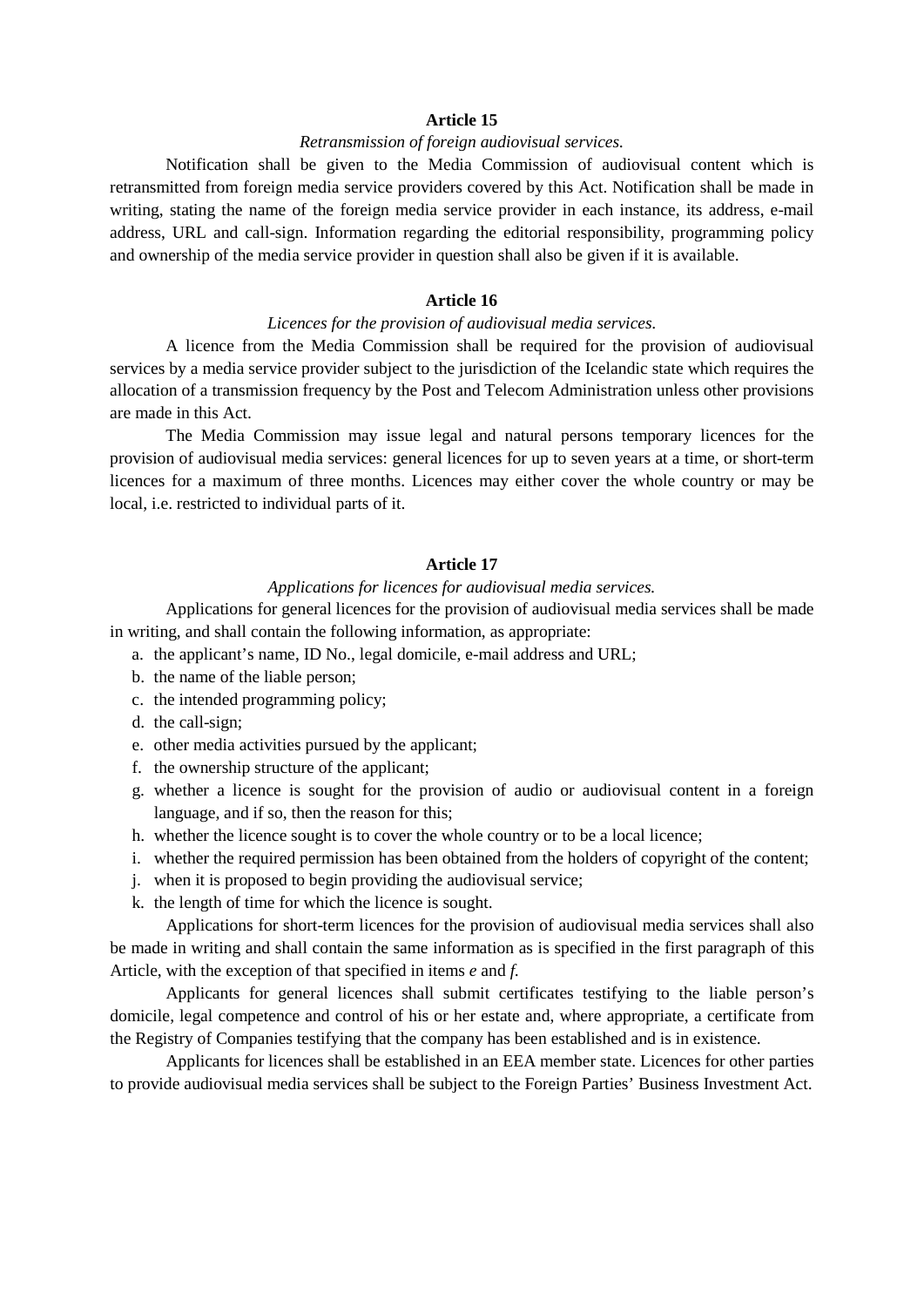## *Retransmission of foreign audiovisual services.*

Notification shall be given to the Media Commission of audiovisual content which is retransmitted from foreign media service providers covered by this Act. Notification shall be made in writing, stating the name of the foreign media service provider in each instance, its address, e-mail address, URL and call-sign. Information regarding the editorial responsibility, programming policy and ownership of the media service provider in question shall also be given if it is available.

## **Article 16**

#### *Licences for the provision of audiovisual media services.*

A licence from the Media Commission shall be required for the provision of audiovisual services by a media service provider subject to the jurisdiction of the Icelandic state which requires the allocation of a transmission frequency by the Post and Telecom Administration unless other provisions are made in this Act.

The Media Commission may issue legal and natural persons temporary licences for the provision of audiovisual media services: general licences for up to seven years at a time, or short-term licences for a maximum of three months. Licences may either cover the whole country or may be local, i.e. restricted to individual parts of it.

#### **Article 17**

## *Applications for licences for audiovisual media services.*

Applications for general licences for the provision of audiovisual media services shall be made in writing, and shall contain the following information, as appropriate:

- a. the applicant's name, ID No., legal domicile, e-mail address and URL;
- b. the name of the liable person;
- c. the intended programming policy;
- d. the call-sign;
- e. other media activities pursued by the applicant;
- f. the ownership structure of the applicant;
- g. whether a licence is sought for the provision of audio or audiovisual content in a foreign language, and if so, then the reason for this;
- h. whether the licence sought is to cover the whole country or to be a local licence;
- i. whether the required permission has been obtained from the holders of copyright of the content;
- j. when it is proposed to begin providing the audiovisual service;
- k. the length of time for which the licence is sought.

Applications for short-term licences for the provision of audiovisual media services shall also be made in writing and shall contain the same information as is specified in the first paragraph of this Article, with the exception of that specified in items *e* and *f.*

Applicants for general licences shall submit certificates testifying to the liable person's domicile, legal competence and control of his or her estate and, where appropriate, a certificate from the Registry of Companies testifying that the company has been established and is in existence.

Applicants for licences shall be established in an EEA member state. Licences for other parties to provide audiovisual media services shall be subject to the Foreign Parties' Business Investment Act.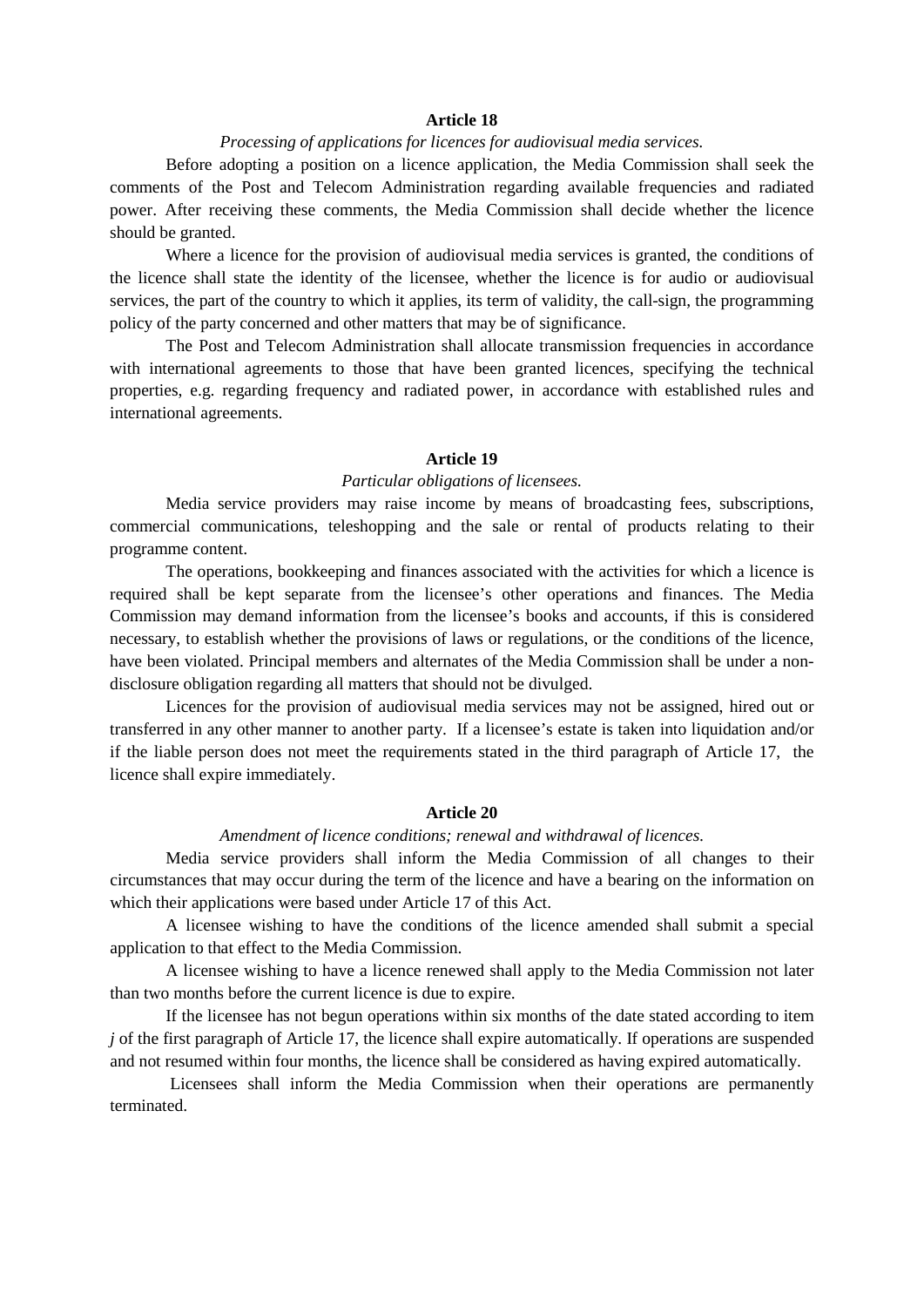### *Processing of applications for licences for audiovisual media services.*

Before adopting a position on a licence application, the Media Commission shall seek the comments of the Post and Telecom Administration regarding available frequencies and radiated power. After receiving these comments, the Media Commission shall decide whether the licence should be granted.

Where a licence for the provision of audiovisual media services is granted, the conditions of the licence shall state the identity of the licensee, whether the licence is for audio or audiovisual services, the part of the country to which it applies, its term of validity, the call-sign, the programming policy of the party concerned and other matters that may be of significance.

The Post and Telecom Administration shall allocate transmission frequencies in accordance with international agreements to those that have been granted licences, specifying the technical properties, e.g. regarding frequency and radiated power, in accordance with established rules and international agreements.

## **Article 19**

#### *Particular obligations of licensees.*

Media service providers may raise income by means of broadcasting fees, subscriptions, commercial communications, teleshopping and the sale or rental of products relating to their programme content.

The operations, bookkeeping and finances associated with the activities for which a licence is required shall be kept separate from the licensee's other operations and finances. The Media Commission may demand information from the licensee's books and accounts, if this is considered necessary, to establish whether the provisions of laws or regulations, or the conditions of the licence, have been violated. Principal members and alternates of the Media Commission shall be under a nondisclosure obligation regarding all matters that should not be divulged.

Licences for the provision of audiovisual media services may not be assigned, hired out or transferred in any other manner to another party. If a licensee's estate is taken into liquidation and/or if the liable person does not meet the requirements stated in the third paragraph of Article 17, the licence shall expire immediately.

## **Article 20**

#### *Amendment of licence conditions; renewal and withdrawal of licences.*

Media service providers shall inform the Media Commission of all changes to their circumstances that may occur during the term of the licence and have a bearing on the information on which their applications were based under Article 17 of this Act.

A licensee wishing to have the conditions of the licence amended shall submit a special application to that effect to the Media Commission.

A licensee wishing to have a licence renewed shall apply to the Media Commission not later than two months before the current licence is due to expire.

If the licensee has not begun operations within six months of the date stated according to item *j* of the first paragraph of Article 17, the licence shall expire automatically. If operations are suspended and not resumed within four months, the licence shall be considered as having expired automatically.

Licensees shall inform the Media Commission when their operations are permanently terminated.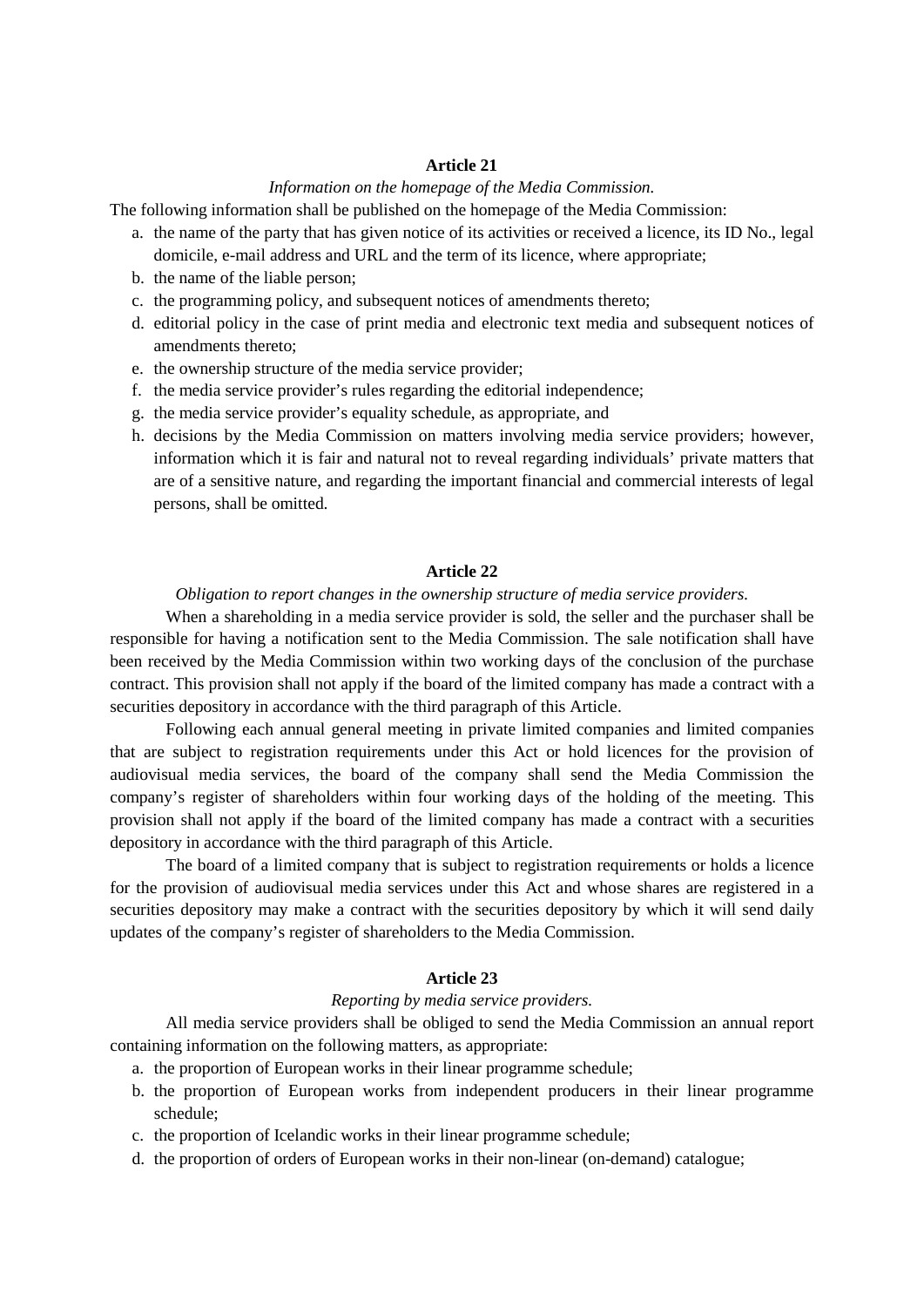# *Information on the homepage of the Media Commission.*

The following information shall be published on the homepage of the Media Commission:

- a. the name of the party that has given notice of its activities or received a licence, its ID No., legal domicile, e-mail address and URL and the term of its licence, where appropriate;
- b. the name of the liable person;
- c. the programming policy, and subsequent notices of amendments thereto;
- d. editorial policy in the case of print media and electronic text media and subsequent notices of amendments thereto;
- e. the ownership structure of the media service provider;
- f. the media service provider's rules regarding the editorial independence;
- g. the media service provider's equality schedule, as appropriate, and
- h. decisions by the Media Commission on matters involving media service providers; however, information which it is fair and natural not to reveal regarding individuals' private matters that are of a sensitive nature, and regarding the important financial and commercial interests of legal persons, shall be omitted.

## **Article 22**

## *Obligation to report changes in the ownership structure of media service providers.*

When a shareholding in a media service provider is sold, the seller and the purchaser shall be responsible for having a notification sent to the Media Commission. The sale notification shall have been received by the Media Commission within two working days of the conclusion of the purchase contract. This provision shall not apply if the board of the limited company has made a contract with a securities depository in accordance with the third paragraph of this Article.

Following each annual general meeting in private limited companies and limited companies that are subject to registration requirements under this Act or hold licences for the provision of audiovisual media services, the board of the company shall send the Media Commission the company's register of shareholders within four working days of the holding of the meeting. This provision shall not apply if the board of the limited company has made a contract with a securities depository in accordance with the third paragraph of this Article.

The board of a limited company that is subject to registration requirements or holds a licence for the provision of audiovisual media services under this Act and whose shares are registered in a securities depository may make a contract with the securities depository by which it will send daily updates of the company's register of shareholders to the Media Commission.

## **Article 23**

#### *Reporting by media service providers.*

All media service providers shall be obliged to send the Media Commission an annual report containing information on the following matters, as appropriate:

- a. the proportion of European works in their linear programme schedule;
- b. the proportion of European works from independent producers in their linear programme schedule;
- c. the proportion of Icelandic works in their linear programme schedule;
- d. the proportion of orders of European works in their non-linear (on-demand) catalogue;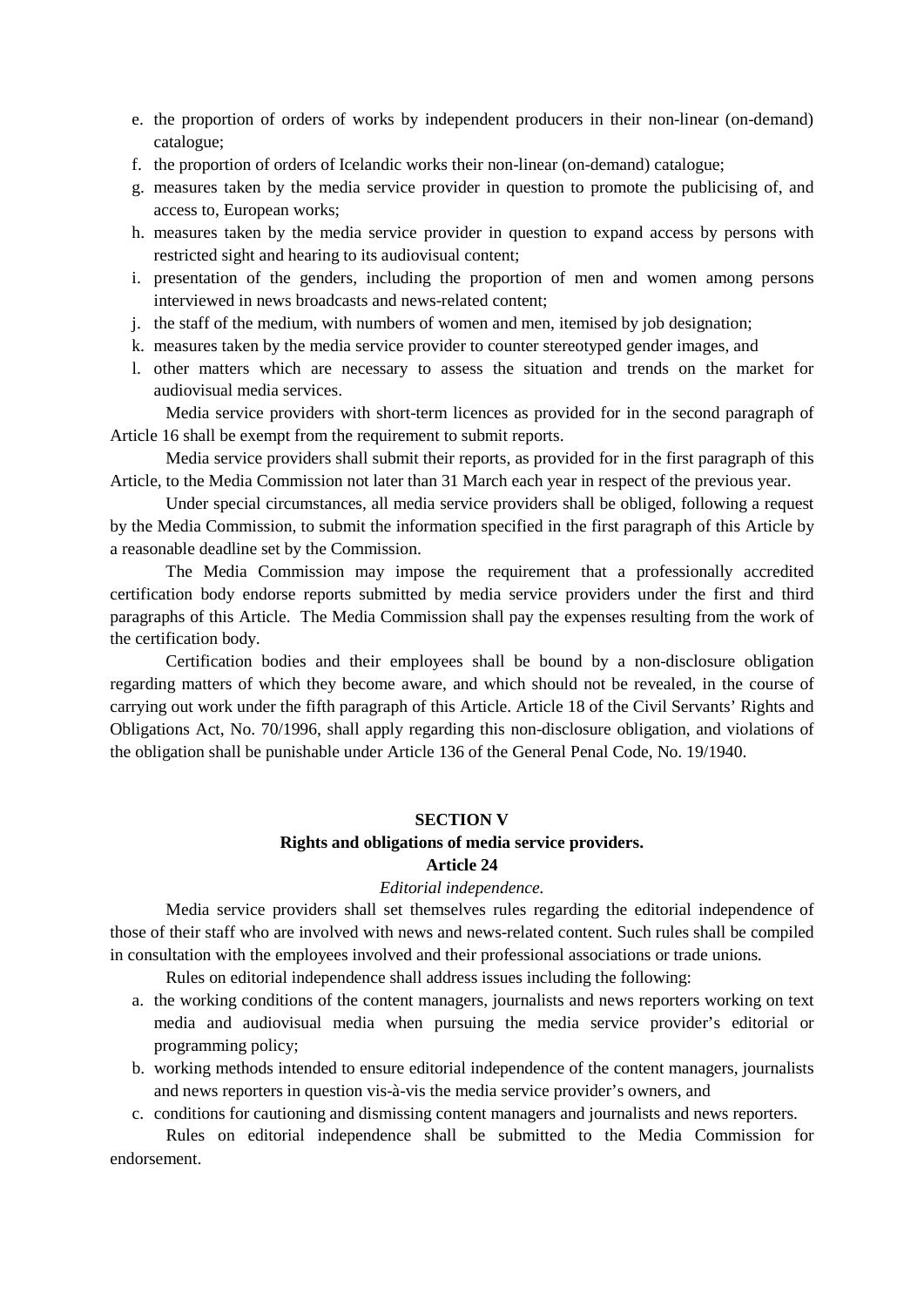- e. the proportion of orders of works by independent producers in their non-linear (on-demand) catalogue;
- f. the proportion of orders of Icelandic works their non-linear (on-demand) catalogue;
- g. measures taken by the media service provider in question to promote the publicising of, and access to, European works;
- h. measures taken by the media service provider in question to expand access by persons with restricted sight and hearing to its audiovisual content;
- i. presentation of the genders, including the proportion of men and women among persons interviewed in news broadcasts and news-related content;
- j. the staff of the medium, with numbers of women and men, itemised by job designation;
- k. measures taken by the media service provider to counter stereotyped gender images, and
- l. other matters which are necessary to assess the situation and trends on the market for audiovisual media services.

Media service providers with short-term licences as provided for in the second paragraph of Article 16 shall be exempt from the requirement to submit reports.

Media service providers shall submit their reports, as provided for in the first paragraph of this Article, to the Media Commission not later than 31 March each year in respect of the previous year.

Under special circumstances, all media service providers shall be obliged, following a request by the Media Commission, to submit the information specified in the first paragraph of this Article by a reasonable deadline set by the Commission.

The Media Commission may impose the requirement that a professionally accredited certification body endorse reports submitted by media service providers under the first and third paragraphs of this Article. The Media Commission shall pay the expenses resulting from the work of the certification body.

Certification bodies and their employees shall be bound by a non-disclosure obligation regarding matters of which they become aware, and which should not be revealed, in the course of carrying out work under the fifth paragraph of this Article. Article 18 of the Civil Servants' Rights and Obligations Act, No. 70/1996, shall apply regarding this non-disclosure obligation, and violations of the obligation shall be punishable under Article 136 of the General Penal Code, No. 19/1940.

#### **SECTION V**

# **Rights and obligations of media service providers.**

# **Article 24**

## *Editorial independence.*

Media service providers shall set themselves rules regarding the editorial independence of those of their staff who are involved with news and news-related content. Such rules shall be compiled in consultation with the employees involved and their professional associations or trade unions.

Rules on editorial independence shall address issues including the following:

- a. the working conditions of the content managers, journalists and news reporters working on text media and audiovisual media when pursuing the media service provider's editorial or programming policy;
- b. working methods intended to ensure editorial independence of the content managers, journalists and news reporters in question vis-à-vis the media service provider's owners, and

c. conditions for cautioning and dismissing content managers and journalists and news reporters.

Rules on editorial independence shall be submitted to the Media Commission for endorsement.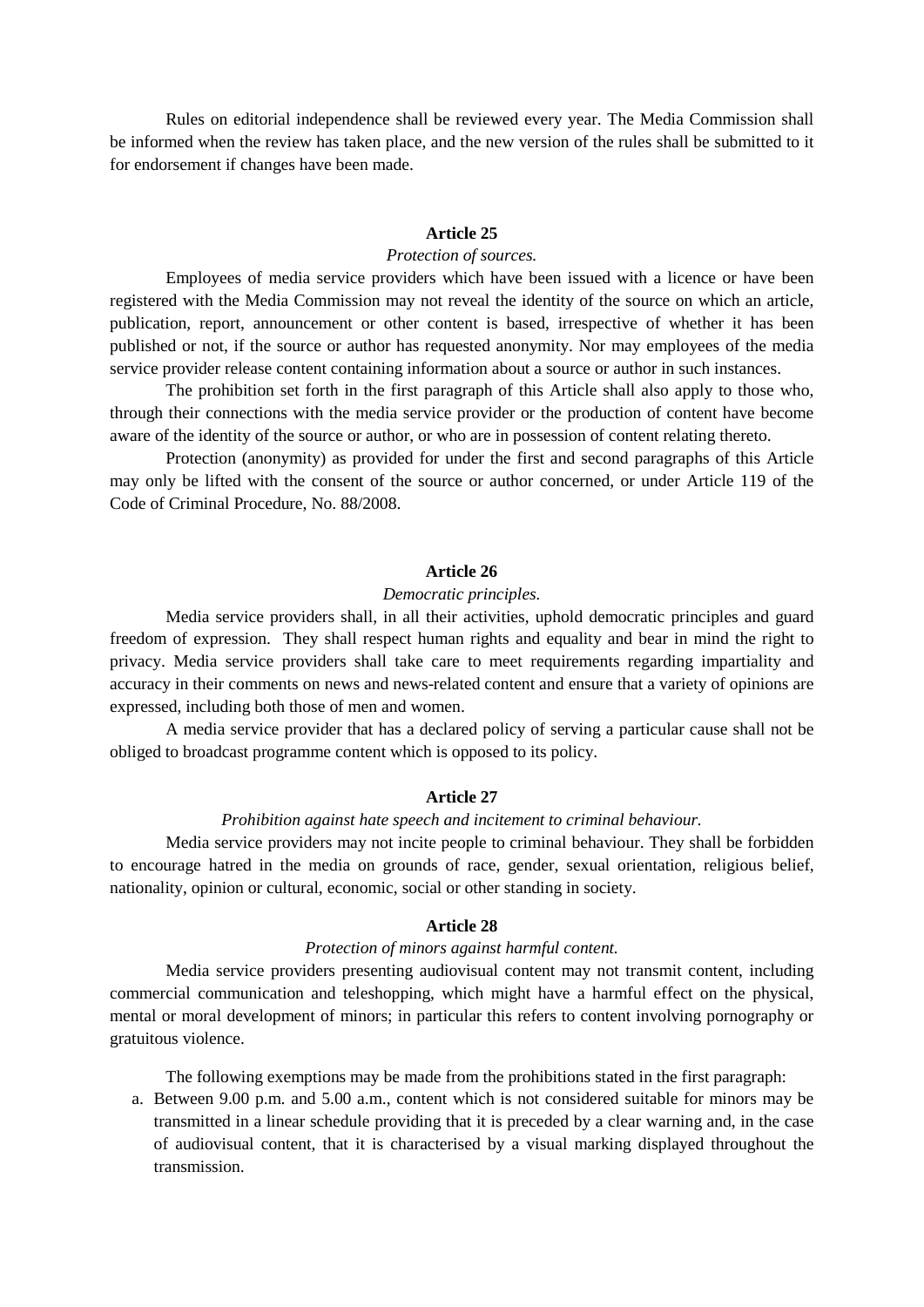Rules on editorial independence shall be reviewed every year. The Media Commission shall be informed when the review has taken place, and the new version of the rules shall be submitted to it for endorsement if changes have been made.

#### **Article 25**

#### *Protection of sources.*

Employees of media service providers which have been issued with a licence or have been registered with the Media Commission may not reveal the identity of the source on which an article, publication, report, announcement or other content is based, irrespective of whether it has been published or not, if the source or author has requested anonymity. Nor may employees of the media service provider release content containing information about a source or author in such instances.

The prohibition set forth in the first paragraph of this Article shall also apply to those who, through their connections with the media service provider or the production of content have become aware of the identity of the source or author, or who are in possession of content relating thereto.

Protection (anonymity) as provided for under the first and second paragraphs of this Article may only be lifted with the consent of the source or author concerned, or under Article 119 of the Code of Criminal Procedure, No. 88/2008.

#### **Article 26**

#### *Democratic principles.*

Media service providers shall, in all their activities, uphold democratic principles and guard freedom of expression. They shall respect human rights and equality and bear in mind the right to privacy. Media service providers shall take care to meet requirements regarding impartiality and accuracy in their comments on news and news-related content and ensure that a variety of opinions are expressed, including both those of men and women.

A media service provider that has a declared policy of serving a particular cause shall not be obliged to broadcast programme content which is opposed to its policy.

#### **Article 27**

#### *Prohibition against hate speech and incitement to criminal behaviour.*

Media service providers may not incite people to criminal behaviour. They shall be forbidden to encourage hatred in the media on grounds of race, gender, sexual orientation, religious belief, nationality, opinion or cultural, economic, social or other standing in society.

# **Article 28**

## *Protection of minors against harmful content.*

Media service providers presenting audiovisual content may not transmit content, including commercial communication and teleshopping, which might have a harmful effect on the physical, mental or moral development of minors; in particular this refers to content involving pornography or gratuitous violence.

The following exemptions may be made from the prohibitions stated in the first paragraph:

a. Between 9.00 p.m. and 5.00 a.m., content which is not considered suitable for minors may be transmitted in a linear schedule providing that it is preceded by a clear warning and, in the case of audiovisual content, that it is characterised by a visual marking displayed throughout the transmission.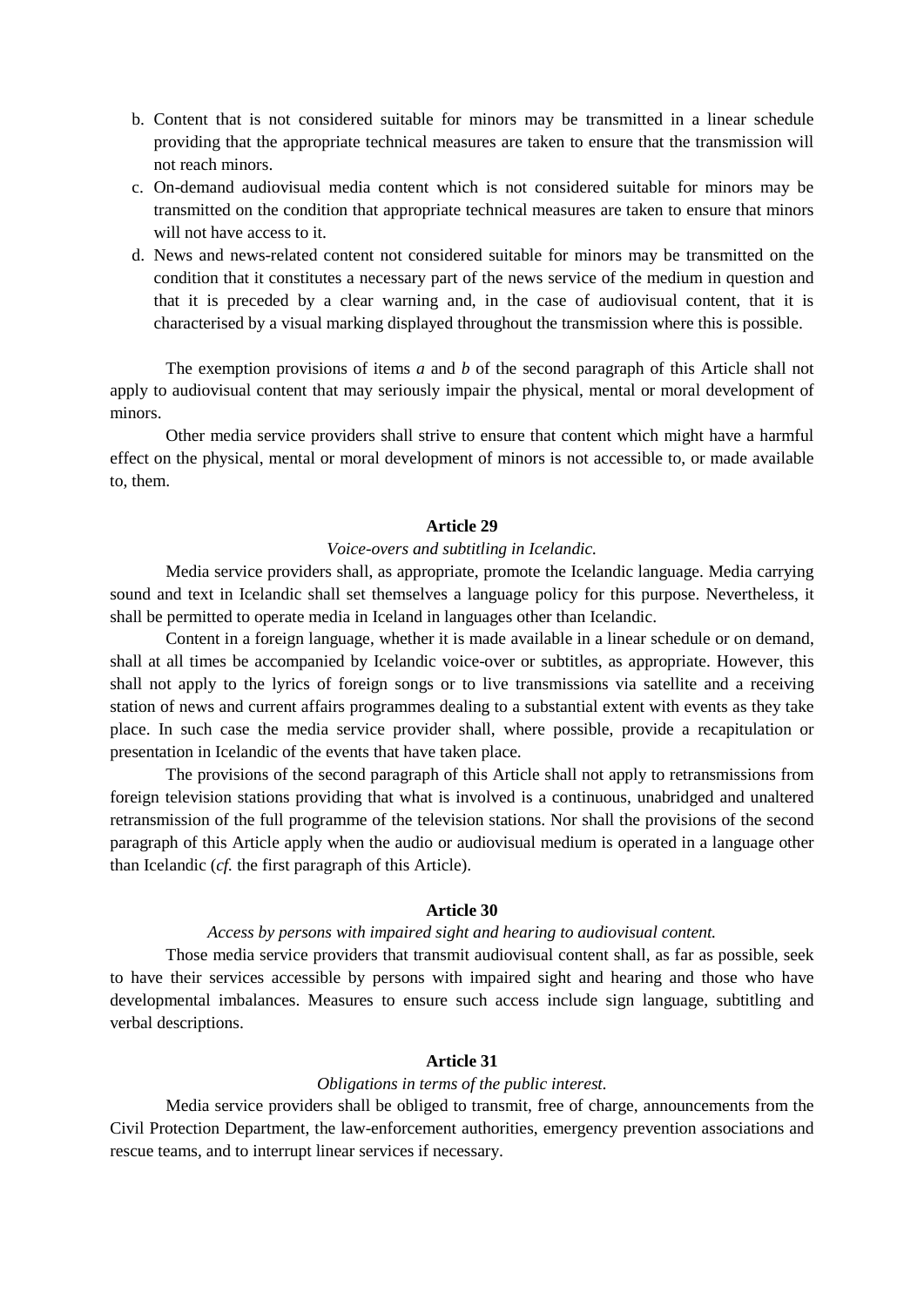- b. Content that is not considered suitable for minors may be transmitted in a linear schedule providing that the appropriate technical measures are taken to ensure that the transmission will not reach minors.
- c. On-demand audiovisual media content which is not considered suitable for minors may be transmitted on the condition that appropriate technical measures are taken to ensure that minors will not have access to it.
- d. News and news-related content not considered suitable for minors may be transmitted on the condition that it constitutes a necessary part of the news service of the medium in question and that it is preceded by a clear warning and, in the case of audiovisual content, that it is characterised by a visual marking displayed throughout the transmission where this is possible.

The exemption provisions of items *a* and *b* of the second paragraph of this Article shall not apply to audiovisual content that may seriously impair the physical, mental or moral development of minors.

Other media service providers shall strive to ensure that content which might have a harmful effect on the physical, mental or moral development of minors is not accessible to, or made available to, them.

## **Article 29**

# *Voice-overs and subtitling in Icelandic.*

Media service providers shall, as appropriate, promote the Icelandic language. Media carrying sound and text in Icelandic shall set themselves a language policy for this purpose. Nevertheless, it shall be permitted to operate media in Iceland in languages other than Icelandic.

Content in a foreign language, whether it is made available in a linear schedule or on demand, shall at all times be accompanied by Icelandic voice-over or subtitles, as appropriate. However, this shall not apply to the lyrics of foreign songs or to live transmissions via satellite and a receiving station of news and current affairs programmes dealing to a substantial extent with events as they take place. In such case the media service provider shall, where possible, provide a recapitulation or presentation in Icelandic of the events that have taken place.

The provisions of the second paragraph of this Article shall not apply to retransmissions from foreign television stations providing that what is involved is a continuous, unabridged and unaltered retransmission of the full programme of the television stations. Nor shall the provisions of the second paragraph of this Article apply when the audio or audiovisual medium is operated in a language other than Icelandic (*cf.* the first paragraph of this Article).

## **Article 30**

#### *Access by persons with impaired sight and hearing to audiovisual content.*

Those media service providers that transmit audiovisual content shall, as far as possible, seek to have their services accessible by persons with impaired sight and hearing and those who have developmental imbalances. Measures to ensure such access include sign language, subtitling and verbal descriptions.

#### **Article 31**

#### *Obligations in terms of the public interest.*

Media service providers shall be obliged to transmit, free of charge, announcements from the Civil Protection Department, the law-enforcement authorities, emergency prevention associations and rescue teams, and to interrupt linear services if necessary.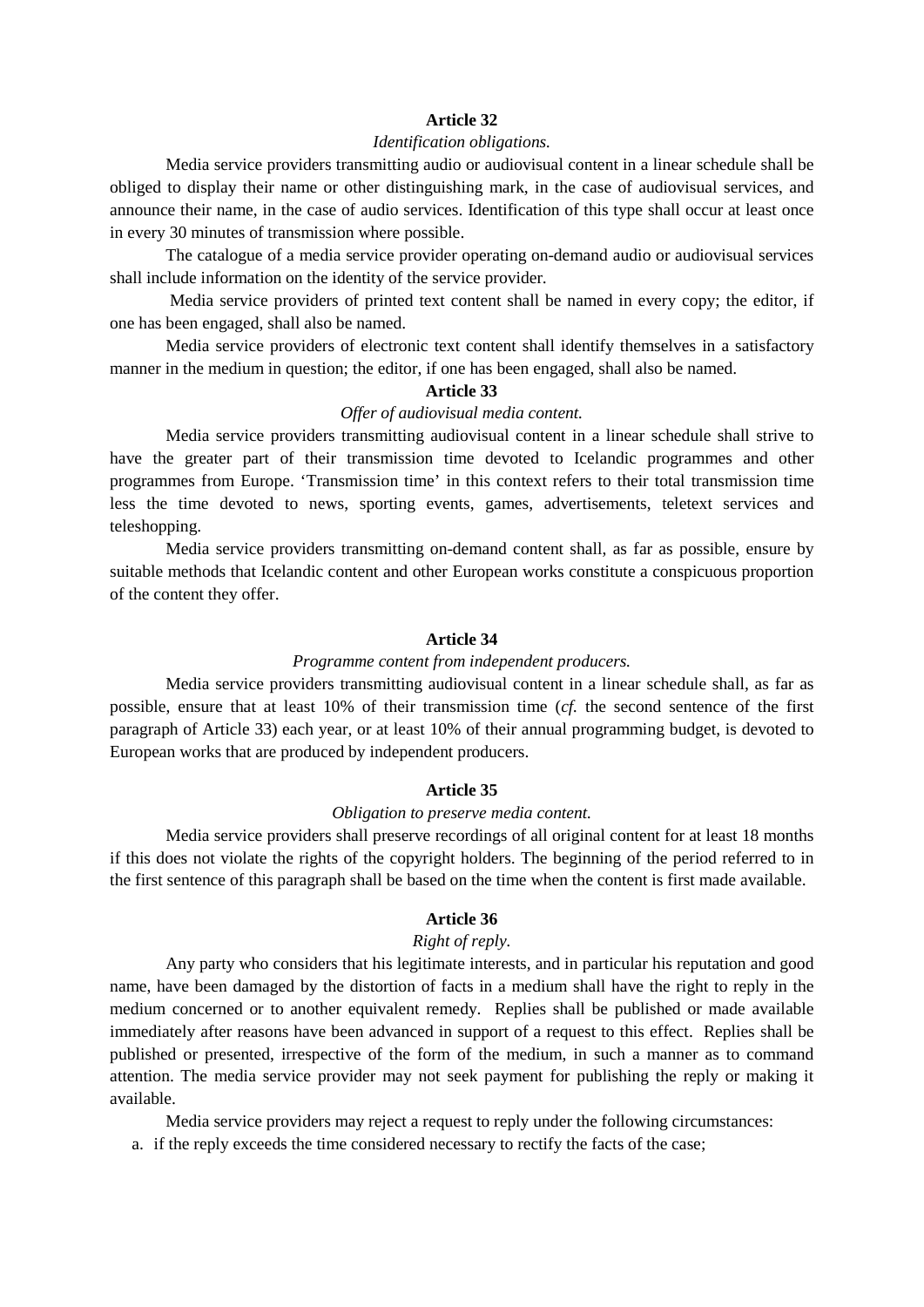# *Identification obligations.*

Media service providers transmitting audio or audiovisual content in a linear schedule shall be obliged to display their name or other distinguishing mark, in the case of audiovisual services, and announce their name, in the case of audio services. Identification of this type shall occur at least once in every 30 minutes of transmission where possible.

The catalogue of a media service provider operating on-demand audio or audiovisual services shall include information on the identity of the service provider.

Media service providers of printed text content shall be named in every copy; the editor, if one has been engaged, shall also be named.

Media service providers of electronic text content shall identify themselves in a satisfactory manner in the medium in question; the editor, if one has been engaged, shall also be named.

#### **Article 33**

### *Offer of audiovisual media content.*

Media service providers transmitting audiovisual content in a linear schedule shall strive to have the greater part of their transmission time devoted to Icelandic programmes and other programmes from Europe. 'Transmission time' in this context refers to their total transmission time less the time devoted to news, sporting events, games, advertisements, teletext services and teleshopping.

Media service providers transmitting on-demand content shall, as far as possible, ensure by suitable methods that Icelandic content and other European works constitute a conspicuous proportion of the content they offer.

# **Article 34**

#### *Programme content from independent producers.*

Media service providers transmitting audiovisual content in a linear schedule shall, as far as possible, ensure that at least 10% of their transmission time (*cf.* the second sentence of the first paragraph of Article 33) each year, or at least 10% of their annual programming budget, is devoted to European works that are produced by independent producers.

#### **Article 35**

## *Obligation to preserve media content.*

Media service providers shall preserve recordings of all original content for at least 18 months if this does not violate the rights of the copyright holders. The beginning of the period referred to in the first sentence of this paragraph shall be based on the time when the content is first made available.

## **Article 36**

### *Right of reply.*

Any party who considers that his legitimate interests, and in particular his reputation and good name, have been damaged by the distortion of facts in a medium shall have the right to reply in the medium concerned or to another equivalent remedy. Replies shall be published or made available immediately after reasons have been advanced in support of a request to this effect. Replies shall be published or presented, irrespective of the form of the medium, in such a manner as to command attention. The media service provider may not seek payment for publishing the reply or making it available.

Media service providers may reject a request to reply under the following circumstances:

a. if the reply exceeds the time considered necessary to rectify the facts of the case;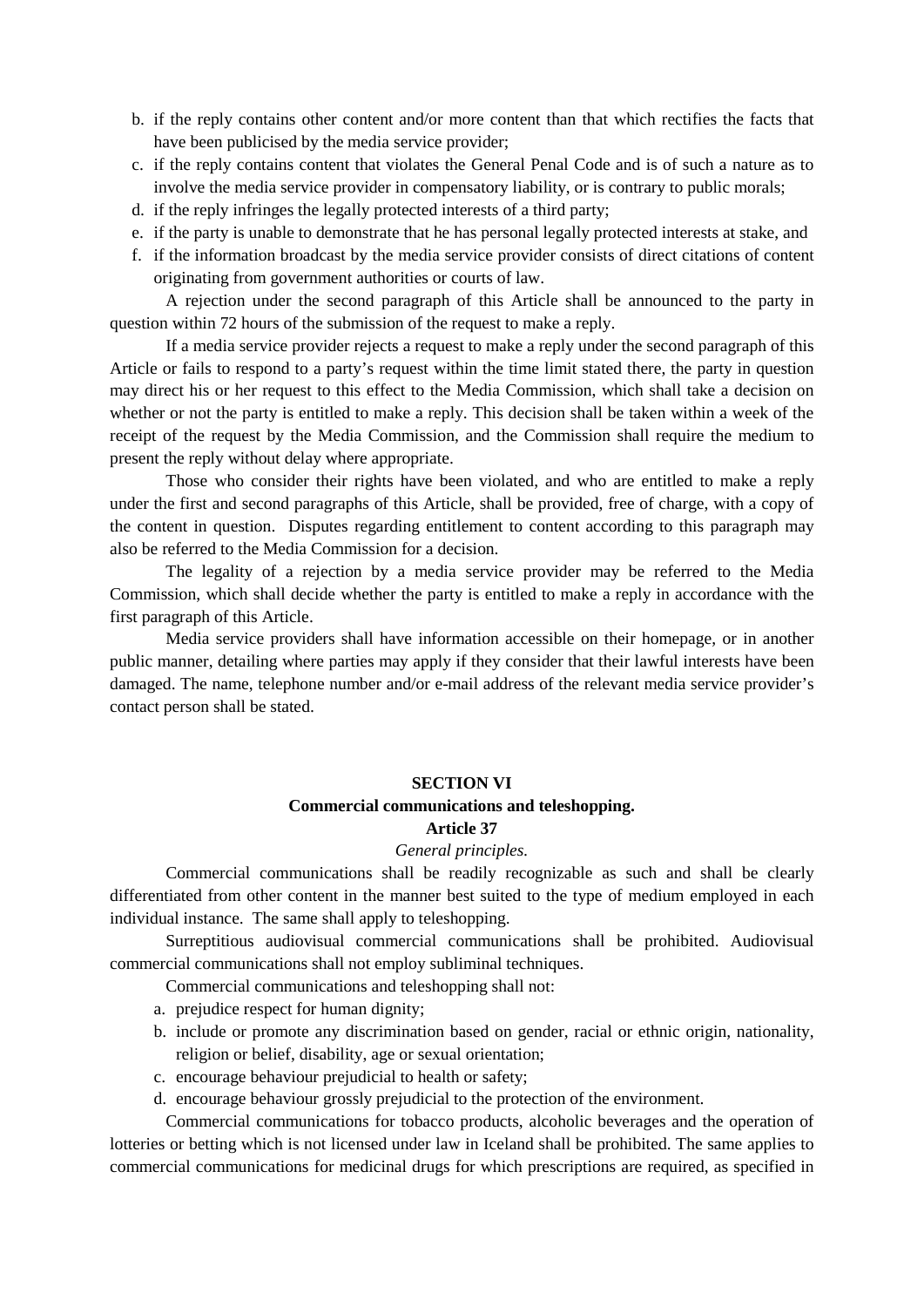- b. if the reply contains other content and/or more content than that which rectifies the facts that have been publicised by the media service provider;
- c. if the reply contains content that violates the General Penal Code and is of such a nature as to involve the media service provider in compensatory liability, or is contrary to public morals;
- d. if the reply infringes the legally protected interests of a third party;
- e. if the party is unable to demonstrate that he has personal legally protected interests at stake, and
- f. if the information broadcast by the media service provider consists of direct citations of content originating from government authorities or courts of law.

A rejection under the second paragraph of this Article shall be announced to the party in question within 72 hours of the submission of the request to make a reply.

If a media service provider rejects a request to make a reply under the second paragraph of this Article or fails to respond to a party's request within the time limit stated there, the party in question may direct his or her request to this effect to the Media Commission, which shall take a decision on whether or not the party is entitled to make a reply. This decision shall be taken within a week of the receipt of the request by the Media Commission, and the Commission shall require the medium to present the reply without delay where appropriate.

Those who consider their rights have been violated, and who are entitled to make a reply under the first and second paragraphs of this Article, shall be provided, free of charge, with a copy of the content in question. Disputes regarding entitlement to content according to this paragraph may also be referred to the Media Commission for a decision.

The legality of a rejection by a media service provider may be referred to the Media Commission, which shall decide whether the party is entitled to make a reply in accordance with the first paragraph of this Article.

Media service providers shall have information accessible on their homepage, or in another public manner, detailing where parties may apply if they consider that their lawful interests have been damaged. The name, telephone number and/or e-mail address of the relevant media service provider's contact person shall be stated.

## **SECTION VI**

# **Commercial communications and teleshopping.**

# **Article 37**

## *General principles.*

Commercial communications shall be readily recognizable as such and shall be clearly differentiated from other content in the manner best suited to the type of medium employed in each individual instance. The same shall apply to teleshopping.

Surreptitious audiovisual commercial communications shall be prohibited. Audiovisual commercial communications shall not employ subliminal techniques.

Commercial communications and teleshopping shall not:

- a. prejudice respect for human dignity;
- b. include or promote any discrimination based on gender, racial or ethnic origin, nationality, religion or belief, disability, age or sexual orientation;
- c. encourage behaviour prejudicial to health or safety;
- d. encourage behaviour grossly prejudicial to the protection of the environment.

Commercial communications for tobacco products, alcoholic beverages and the operation of lotteries or betting which is not licensed under law in Iceland shall be prohibited. The same applies to commercial communications for medicinal drugs for which prescriptions are required, as specified in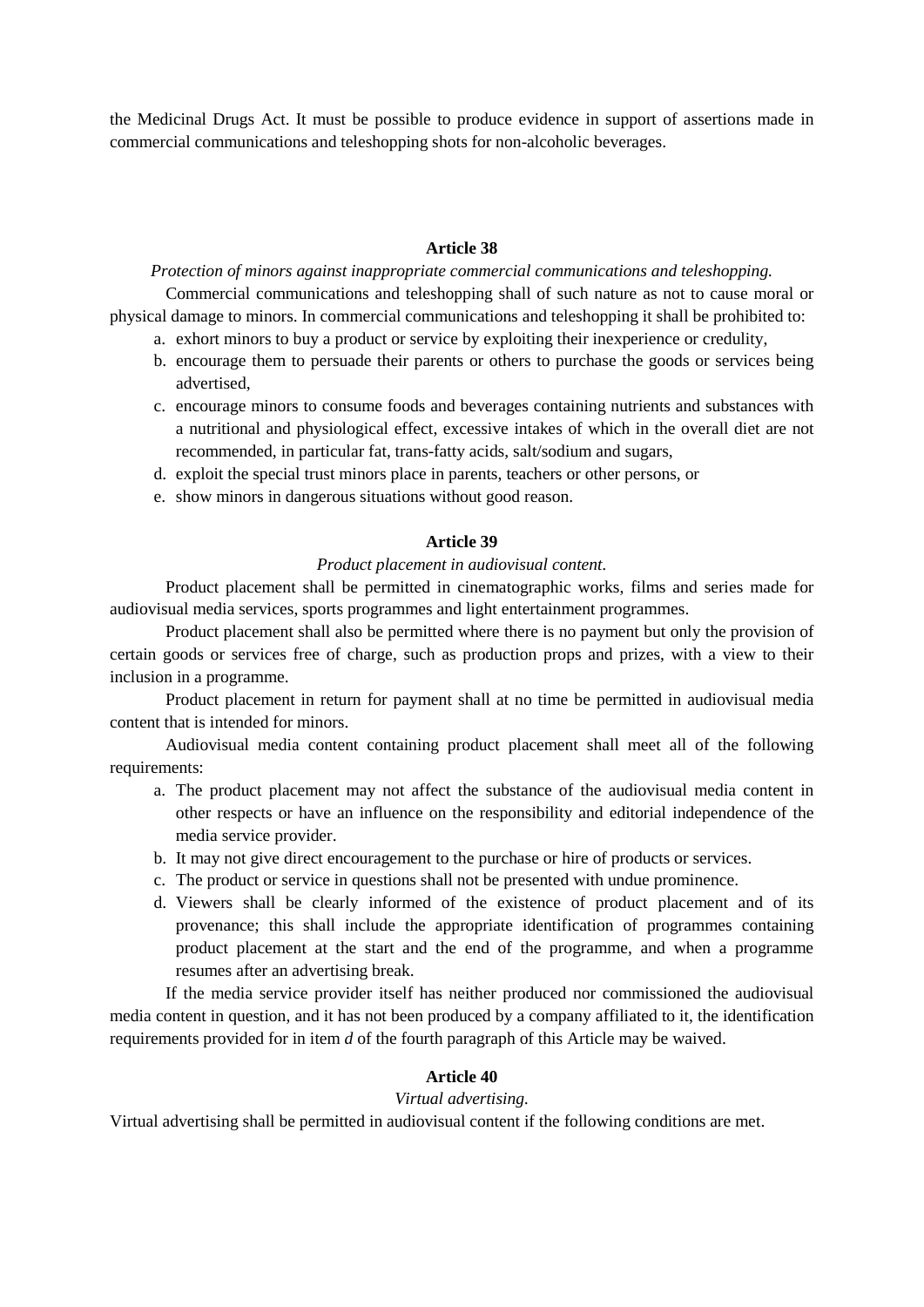the Medicinal Drugs Act. It must be possible to produce evidence in support of assertions made in commercial communications and teleshopping shots for non-alcoholic beverages.

# **Article 38**

*Protection of minors against inappropriate commercial communications and teleshopping.*  Commercial communications and teleshopping shall of such nature as not to cause moral or physical damage to minors. In commercial communications and teleshopping it shall be prohibited to:

- a. exhort minors to buy a product or service by exploiting their inexperience or credulity,
- b. encourage them to persuade their parents or others to purchase the goods or services being advertised,
- c. encourage minors to consume foods and beverages containing nutrients and substances with a nutritional and physiological effect, excessive intakes of which in the overall diet are not recommended, in particular fat, trans-fatty acids, salt/sodium and sugars,
- d. exploit the special trust minors place in parents, teachers or other persons, or
- e. show minors in dangerous situations without good reason.

# **Article 39**

## *Product placement in audiovisual content.*

Product placement shall be permitted in cinematographic works, films and series made for audiovisual media services, sports programmes and light entertainment programmes.

Product placement shall also be permitted where there is no payment but only the provision of certain goods or services free of charge, such as production props and prizes, with a view to their inclusion in a programme.

Product placement in return for payment shall at no time be permitted in audiovisual media content that is intended for minors.

Audiovisual media content containing product placement shall meet all of the following requirements:

- a. The product placement may not affect the substance of the audiovisual media content in other respects or have an influence on the responsibility and editorial independence of the media service provider.
- b. It may not give direct encouragement to the purchase or hire of products or services.
- c. The product or service in questions shall not be presented with undue prominence.
- d. Viewers shall be clearly informed of the existence of product placement and of its provenance; this shall include the appropriate identification of programmes containing product placement at the start and the end of the programme, and when a programme resumes after an advertising break.

If the media service provider itself has neither produced nor commissioned the audiovisual media content in question, and it has not been produced by a company affiliated to it, the identification requirements provided for in item *d* of the fourth paragraph of this Article may be waived.

# **Article 40**

# *Virtual advertising.*

Virtual advertising shall be permitted in audiovisual content if the following conditions are met.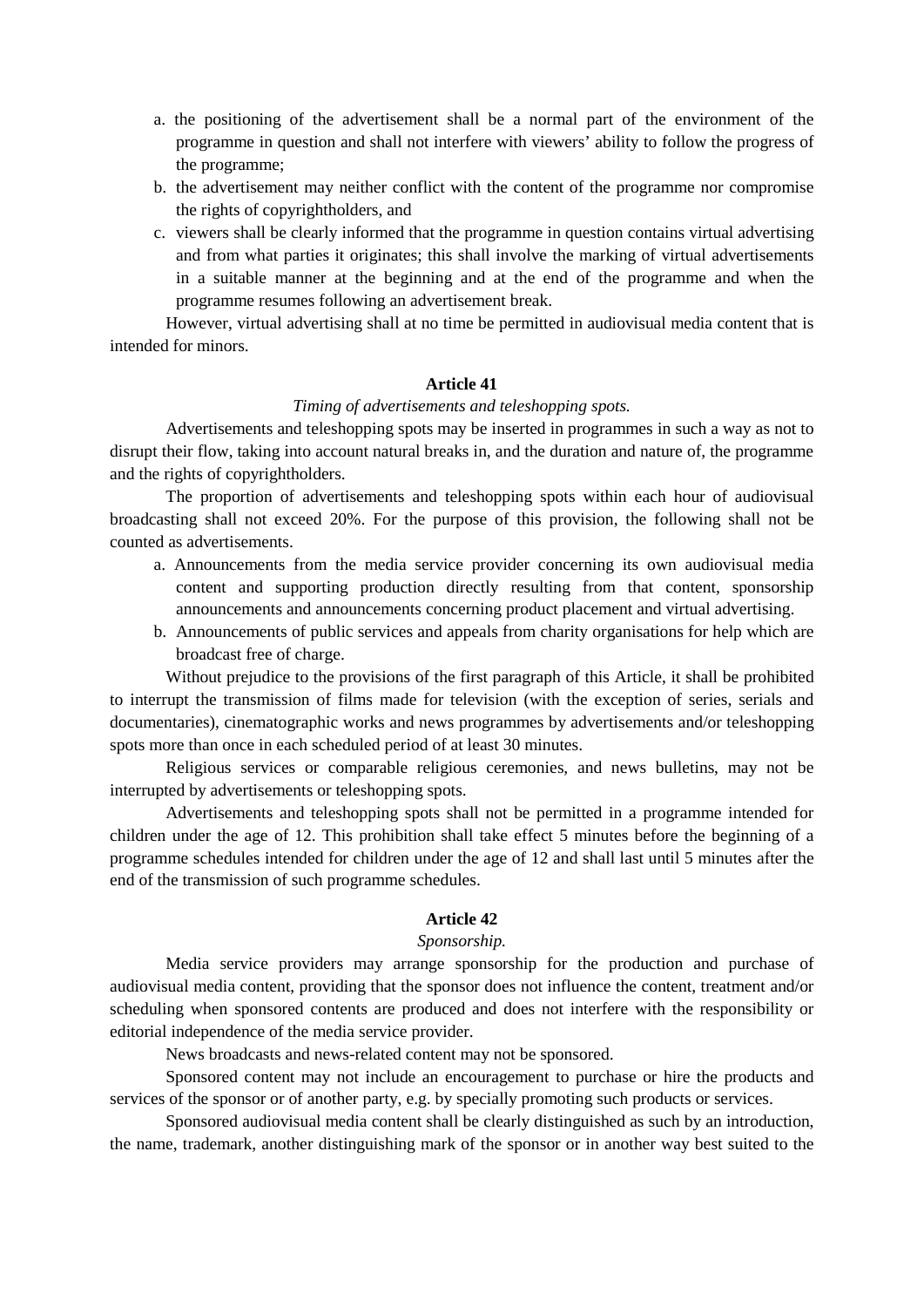- a. the positioning of the advertisement shall be a normal part of the environment of the programme in question and shall not interfere with viewers' ability to follow the progress of the programme;
- b. the advertisement may neither conflict with the content of the programme nor compromise the rights of copyrightholders, and
- c. viewers shall be clearly informed that the programme in question contains virtual advertising and from what parties it originates; this shall involve the marking of virtual advertisements in a suitable manner at the beginning and at the end of the programme and when the programme resumes following an advertisement break.

However, virtual advertising shall at no time be permitted in audiovisual media content that is intended for minors.

# **Article 41**

# *Timing of advertisements and teleshopping spots.*

Advertisements and teleshopping spots may be inserted in programmes in such a way as not to disrupt their flow, taking into account natural breaks in, and the duration and nature of, the programme and the rights of copyrightholders.

The proportion of advertisements and teleshopping spots within each hour of audiovisual broadcasting shall not exceed 20%. For the purpose of this provision, the following shall not be counted as advertisements.

- a. Announcements from the media service provider concerning its own audiovisual media content and supporting production directly resulting from that content, sponsorship announcements and announcements concerning product placement and virtual advertising.
- b. Announcements of public services and appeals from charity organisations for help which are broadcast free of charge.

Without prejudice to the provisions of the first paragraph of this Article, it shall be prohibited to interrupt the transmission of films made for television (with the exception of series, serials and documentaries), cinematographic works and news programmes by advertisements and/or teleshopping spots more than once in each scheduled period of at least 30 minutes.

Religious services or comparable religious ceremonies, and news bulletins, may not be interrupted by advertisements or teleshopping spots.

Advertisements and teleshopping spots shall not be permitted in a programme intended for children under the age of 12. This prohibition shall take effect 5 minutes before the beginning of a programme schedules intended for children under the age of 12 and shall last until 5 minutes after the end of the transmission of such programme schedules.

#### **Article 42**

#### *Sponsorship.*

Media service providers may arrange sponsorship for the production and purchase of audiovisual media content, providing that the sponsor does not influence the content, treatment and/or scheduling when sponsored contents are produced and does not interfere with the responsibility or editorial independence of the media service provider.

News broadcasts and news-related content may not be sponsored.

Sponsored content may not include an encouragement to purchase or hire the products and services of the sponsor or of another party, e.g. by specially promoting such products or services.

Sponsored audiovisual media content shall be clearly distinguished as such by an introduction, the name, trademark, another distinguishing mark of the sponsor or in another way best suited to the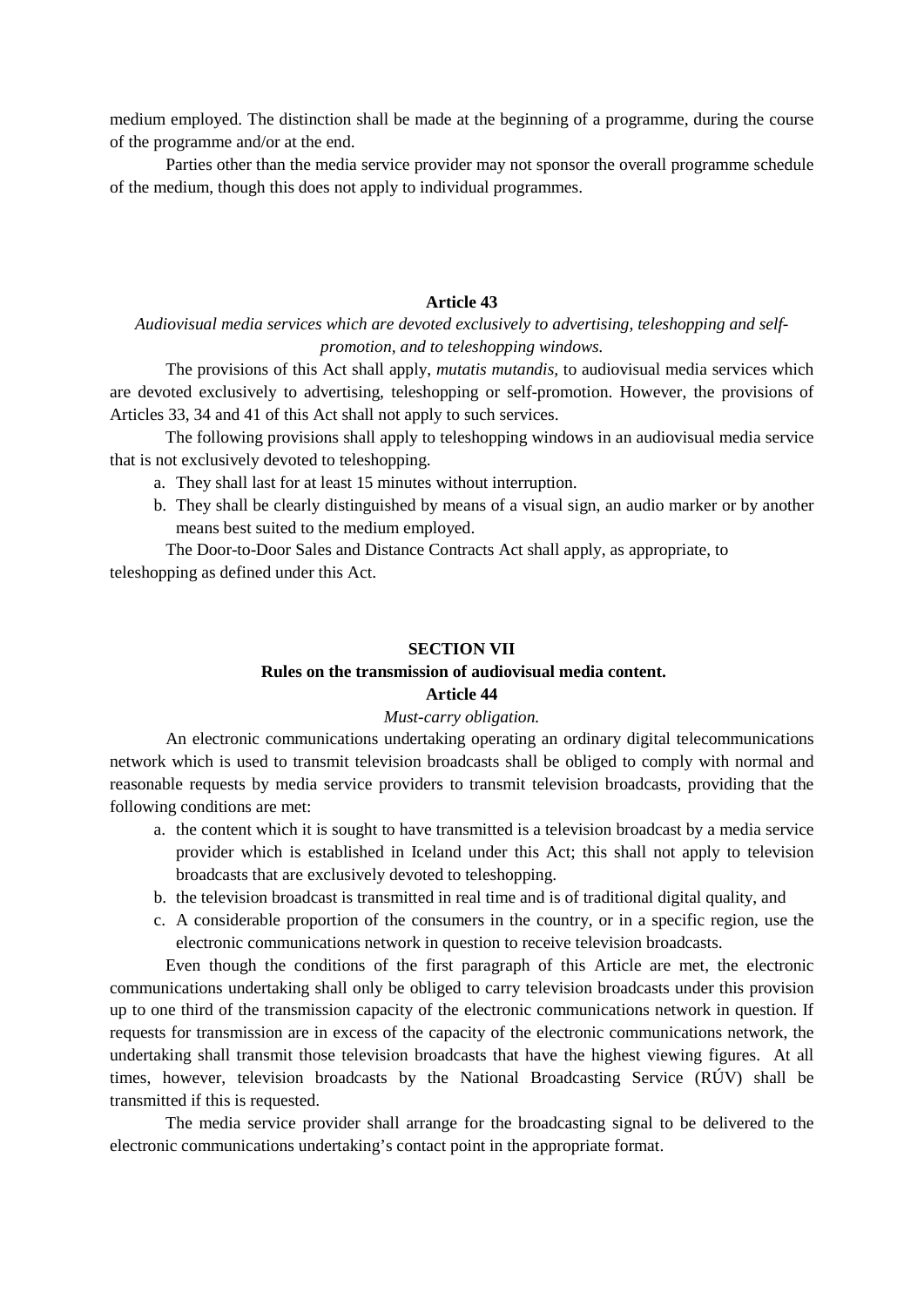medium employed. The distinction shall be made at the beginning of a programme, during the course of the programme and/or at the end.

Parties other than the media service provider may not sponsor the overall programme schedule of the medium, though this does not apply to individual programmes.

# **Article 43**

# *Audiovisual media services which are devoted exclusively to advertising, teleshopping and selfpromotion, and to teleshopping windows.*

The provisions of this Act shall apply, *mutatis mutandis,* to audiovisual media services which are devoted exclusively to advertising, teleshopping or self-promotion. However, the provisions of Articles 33, 34 and 41 of this Act shall not apply to such services.

The following provisions shall apply to teleshopping windows in an audiovisual media service that is not exclusively devoted to teleshopping.

- a. They shall last for at least 15 minutes without interruption.
- b. They shall be clearly distinguished by means of a visual sign, an audio marker or by another means best suited to the medium employed.

The Door-to-Door Sales and Distance Contracts Act shall apply, as appropriate, to teleshopping as defined under this Act.

#### **SECTION VII**

# **Rules on the transmission of audiovisual media content.**

# **Article 44**

## *Must-carry obligation.*

An electronic communications undertaking operating an ordinary digital telecommunications network which is used to transmit television broadcasts shall be obliged to comply with normal and reasonable requests by media service providers to transmit television broadcasts, providing that the following conditions are met:

- a. the content which it is sought to have transmitted is a television broadcast by a media service provider which is established in Iceland under this Act; this shall not apply to television broadcasts that are exclusively devoted to teleshopping.
- b. the television broadcast is transmitted in real time and is of traditional digital quality, and
- c. A considerable proportion of the consumers in the country, or in a specific region, use the electronic communications network in question to receive television broadcasts.

Even though the conditions of the first paragraph of this Article are met, the electronic communications undertaking shall only be obliged to carry television broadcasts under this provision up to one third of the transmission capacity of the electronic communications network in question. If requests for transmission are in excess of the capacity of the electronic communications network, the undertaking shall transmit those television broadcasts that have the highest viewing figures. At all times, however, television broadcasts by the National Broadcasting Service (RÚV) shall be transmitted if this is requested.

The media service provider shall arrange for the broadcasting signal to be delivered to the electronic communications undertaking's contact point in the appropriate format.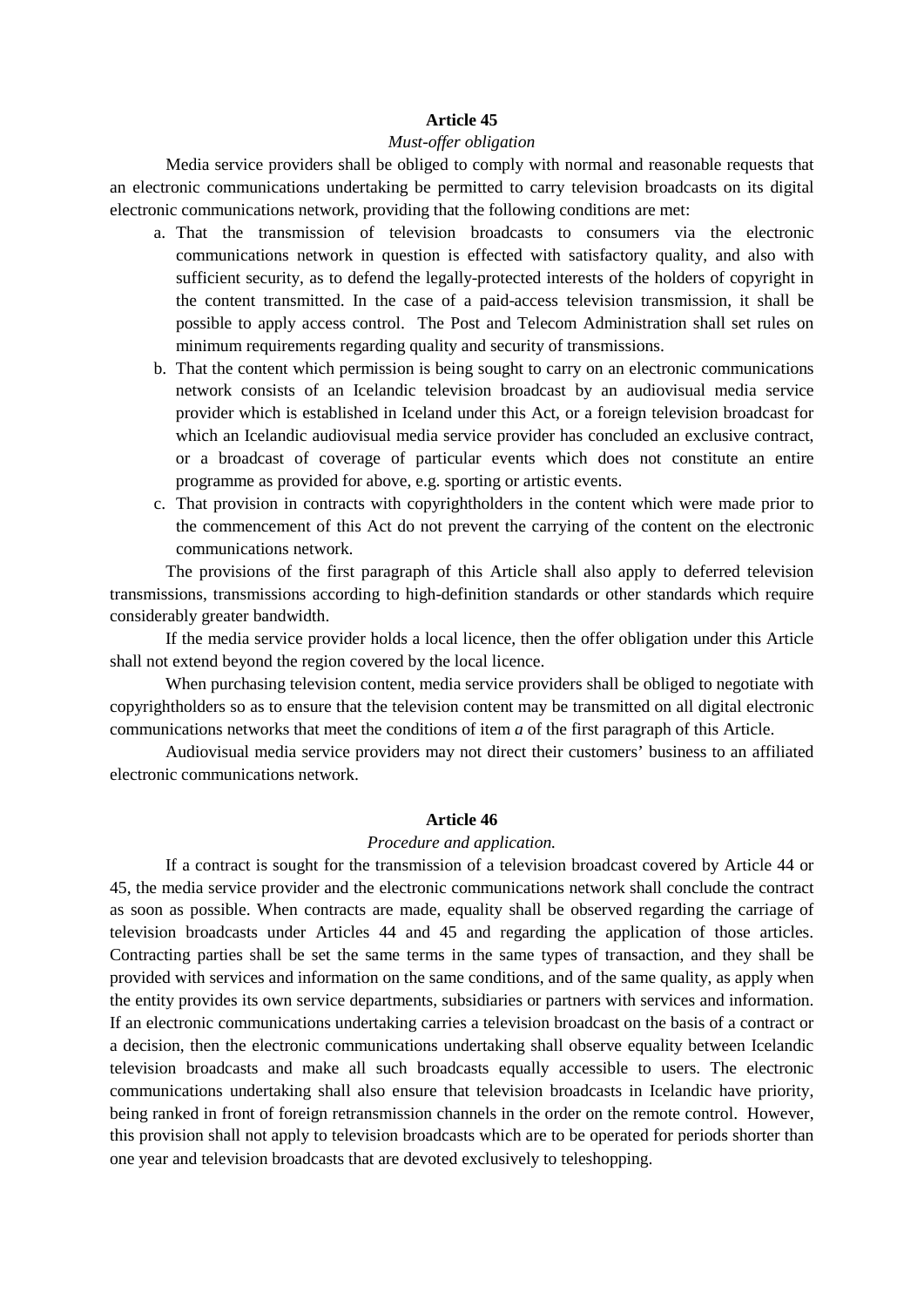## *Must-offer obligation*

Media service providers shall be obliged to comply with normal and reasonable requests that an electronic communications undertaking be permitted to carry television broadcasts on its digital electronic communications network, providing that the following conditions are met:

- a. That the transmission of television broadcasts to consumers via the electronic communications network in question is effected with satisfactory quality, and also with sufficient security, as to defend the legally-protected interests of the holders of copyright in the content transmitted. In the case of a paid-access television transmission, it shall be possible to apply access control. The Post and Telecom Administration shall set rules on minimum requirements regarding quality and security of transmissions.
- b. That the content which permission is being sought to carry on an electronic communications network consists of an Icelandic television broadcast by an audiovisual media service provider which is established in Iceland under this Act, or a foreign television broadcast for which an Icelandic audiovisual media service provider has concluded an exclusive contract, or a broadcast of coverage of particular events which does not constitute an entire programme as provided for above, e.g. sporting or artistic events.
- c. That provision in contracts with copyrightholders in the content which were made prior to the commencement of this Act do not prevent the carrying of the content on the electronic communications network.

The provisions of the first paragraph of this Article shall also apply to deferred television transmissions, transmissions according to high-definition standards or other standards which require considerably greater bandwidth.

If the media service provider holds a local licence, then the offer obligation under this Article shall not extend beyond the region covered by the local licence.

When purchasing television content, media service providers shall be obliged to negotiate with copyrightholders so as to ensure that the television content may be transmitted on all digital electronic communications networks that meet the conditions of item *a* of the first paragraph of this Article.

Audiovisual media service providers may not direct their customers' business to an affiliated electronic communications network.

#### **Article 46**

### *Procedure and application.*

If a contract is sought for the transmission of a television broadcast covered by Article 44 or 45, the media service provider and the electronic communications network shall conclude the contract as soon as possible. When contracts are made, equality shall be observed regarding the carriage of television broadcasts under Articles 44 and 45 and regarding the application of those articles. Contracting parties shall be set the same terms in the same types of transaction, and they shall be provided with services and information on the same conditions, and of the same quality, as apply when the entity provides its own service departments, subsidiaries or partners with services and information. If an electronic communications undertaking carries a television broadcast on the basis of a contract or a decision, then the electronic communications undertaking shall observe equality between Icelandic television broadcasts and make all such broadcasts equally accessible to users. The electronic communications undertaking shall also ensure that television broadcasts in Icelandic have priority, being ranked in front of foreign retransmission channels in the order on the remote control. However, this provision shall not apply to television broadcasts which are to be operated for periods shorter than one year and television broadcasts that are devoted exclusively to teleshopping.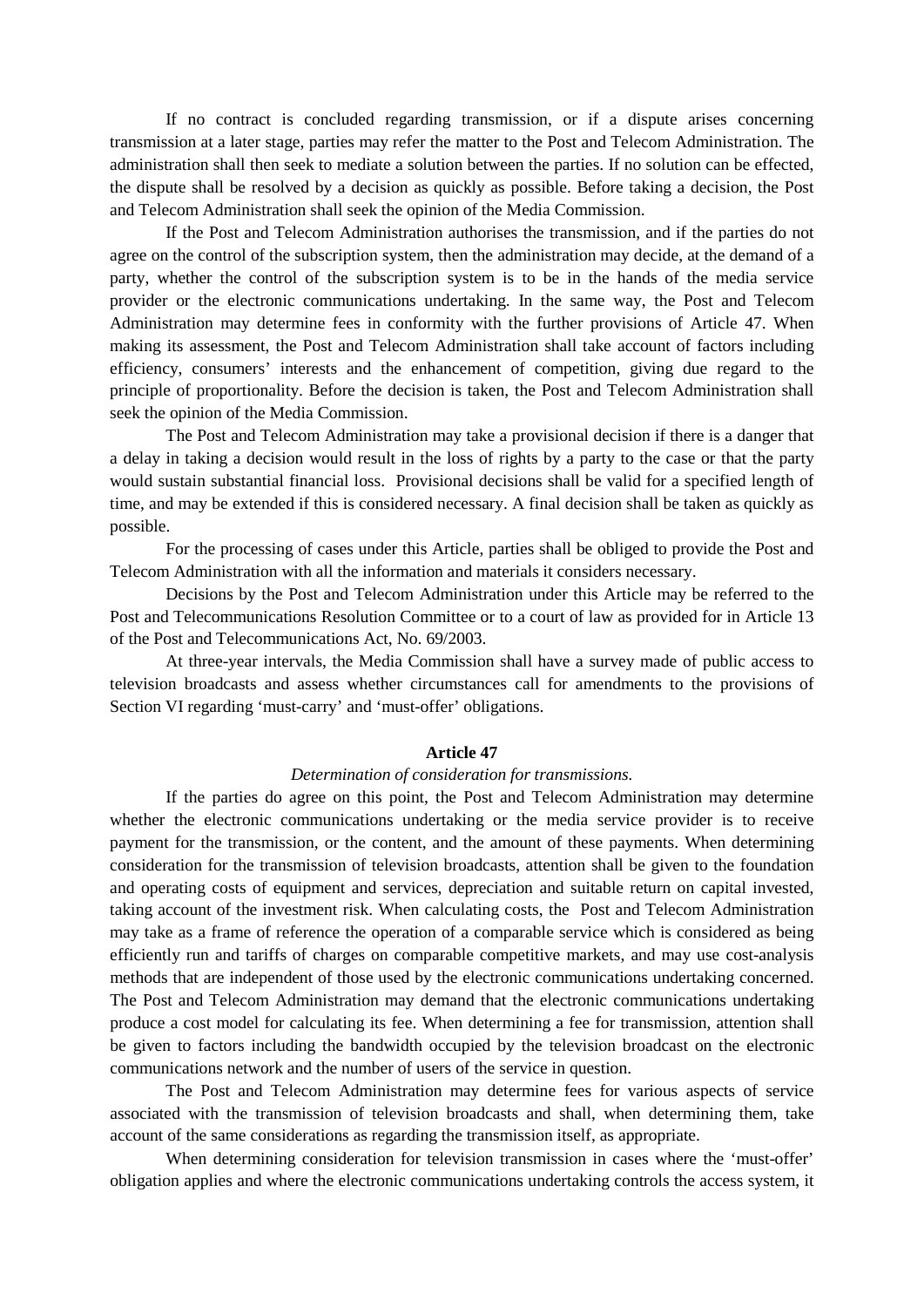If no contract is concluded regarding transmission, or if a dispute arises concerning transmission at a later stage, parties may refer the matter to the Post and Telecom Administration. The administration shall then seek to mediate a solution between the parties. If no solution can be effected, the dispute shall be resolved by a decision as quickly as possible. Before taking a decision, the Post and Telecom Administration shall seek the opinion of the Media Commission.

If the Post and Telecom Administration authorises the transmission, and if the parties do not agree on the control of the subscription system, then the administration may decide, at the demand of a party, whether the control of the subscription system is to be in the hands of the media service provider or the electronic communications undertaking. In the same way, the Post and Telecom Administration may determine fees in conformity with the further provisions of Article 47. When making its assessment, the Post and Telecom Administration shall take account of factors including efficiency, consumers' interests and the enhancement of competition, giving due regard to the principle of proportionality. Before the decision is taken, the Post and Telecom Administration shall seek the opinion of the Media Commission.

The Post and Telecom Administration may take a provisional decision if there is a danger that a delay in taking a decision would result in the loss of rights by a party to the case or that the party would sustain substantial financial loss. Provisional decisions shall be valid for a specified length of time, and may be extended if this is considered necessary. A final decision shall be taken as quickly as possible.

For the processing of cases under this Article, parties shall be obliged to provide the Post and Telecom Administration with all the information and materials it considers necessary.

Decisions by the Post and Telecom Administration under this Article may be referred to the Post and Telecommunications Resolution Committee or to a court of law as provided for in Article 13 of the Post and Telecommunications Act, No. 69/2003.

At three-year intervals, the Media Commission shall have a survey made of public access to television broadcasts and assess whether circumstances call for amendments to the provisions of Section VI regarding 'must-carry' and 'must-offer' obligations.

#### **Article 47**

#### *Determination of consideration for transmissions.*

If the parties do agree on this point, the Post and Telecom Administration may determine whether the electronic communications undertaking or the media service provider is to receive payment for the transmission, or the content, and the amount of these payments. When determining consideration for the transmission of television broadcasts, attention shall be given to the foundation and operating costs of equipment and services, depreciation and suitable return on capital invested, taking account of the investment risk. When calculating costs, the Post and Telecom Administration may take as a frame of reference the operation of a comparable service which is considered as being efficiently run and tariffs of charges on comparable competitive markets, and may use cost-analysis methods that are independent of those used by the electronic communications undertaking concerned. The Post and Telecom Administration may demand that the electronic communications undertaking produce a cost model for calculating its fee. When determining a fee for transmission, attention shall be given to factors including the bandwidth occupied by the television broadcast on the electronic communications network and the number of users of the service in question.

The Post and Telecom Administration may determine fees for various aspects of service associated with the transmission of television broadcasts and shall, when determining them, take account of the same considerations as regarding the transmission itself, as appropriate.

When determining consideration for television transmission in cases where the 'must-offer' obligation applies and where the electronic communications undertaking controls the access system, it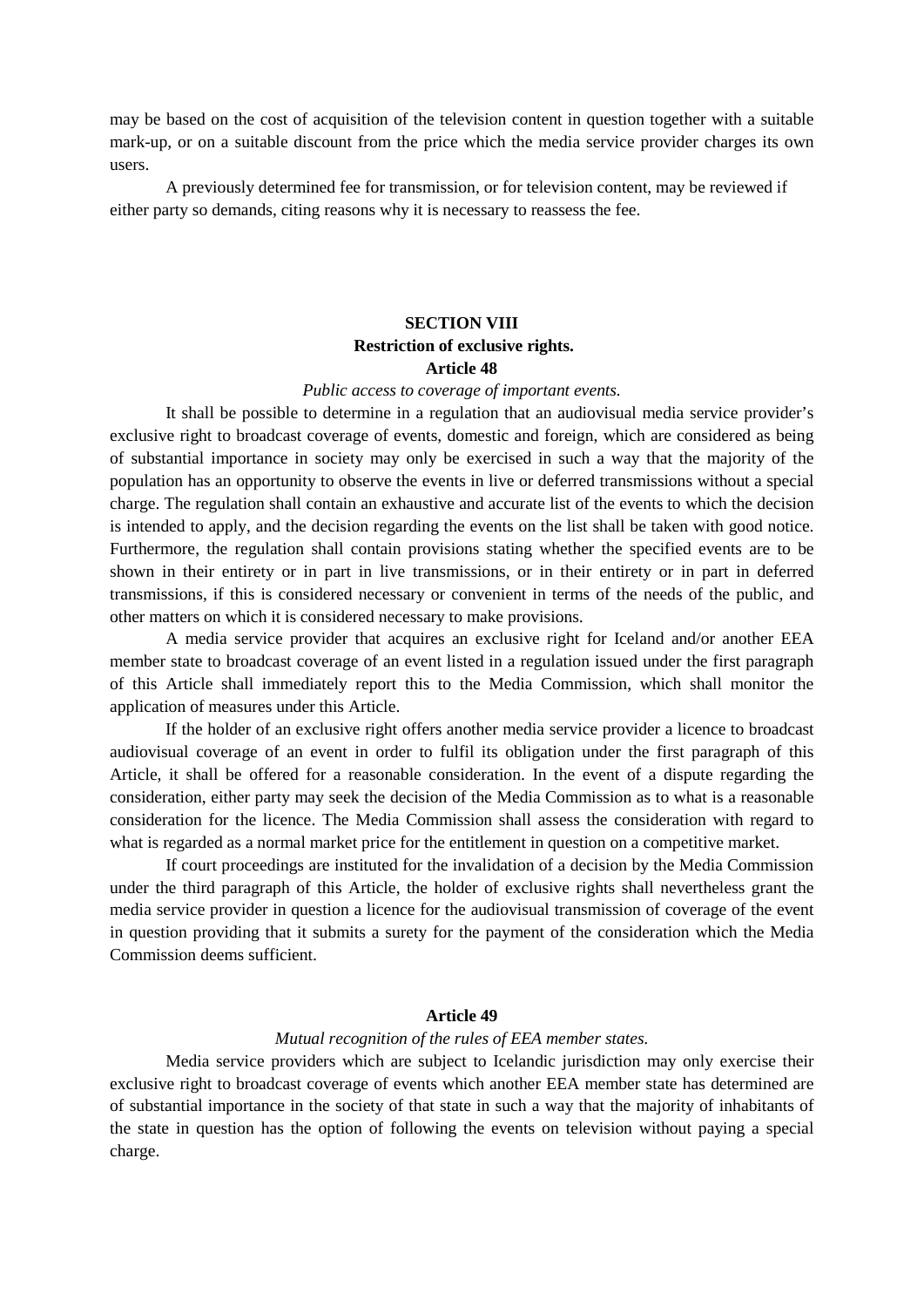may be based on the cost of acquisition of the television content in question together with a suitable mark-up, or on a suitable discount from the price which the media service provider charges its own users.

A previously determined fee for transmission, or for television content, may be reviewed if either party so demands, citing reasons why it is necessary to reassess the fee.

# **SECTION VIII Restriction of exclusive rights. Article 48**

#### *Public access to coverage of important events.*

It shall be possible to determine in a regulation that an audiovisual media service provider's exclusive right to broadcast coverage of events, domestic and foreign, which are considered as being of substantial importance in society may only be exercised in such a way that the majority of the population has an opportunity to observe the events in live or deferred transmissions without a special charge. The regulation shall contain an exhaustive and accurate list of the events to which the decision is intended to apply, and the decision regarding the events on the list shall be taken with good notice. Furthermore, the regulation shall contain provisions stating whether the specified events are to be shown in their entirety or in part in live transmissions, or in their entirety or in part in deferred transmissions, if this is considered necessary or convenient in terms of the needs of the public, and other matters on which it is considered necessary to make provisions.

A media service provider that acquires an exclusive right for Iceland and/or another EEA member state to broadcast coverage of an event listed in a regulation issued under the first paragraph of this Article shall immediately report this to the Media Commission, which shall monitor the application of measures under this Article.

If the holder of an exclusive right offers another media service provider a licence to broadcast audiovisual coverage of an event in order to fulfil its obligation under the first paragraph of this Article, it shall be offered for a reasonable consideration. In the event of a dispute regarding the consideration, either party may seek the decision of the Media Commission as to what is a reasonable consideration for the licence. The Media Commission shall assess the consideration with regard to what is regarded as a normal market price for the entitlement in question on a competitive market.

If court proceedings are instituted for the invalidation of a decision by the Media Commission under the third paragraph of this Article, the holder of exclusive rights shall nevertheless grant the media service provider in question a licence for the audiovisual transmission of coverage of the event in question providing that it submits a surety for the payment of the consideration which the Media Commission deems sufficient.

## **Article 49**

#### *Mutual recognition of the rules of EEA member states.*

Media service providers which are subject to Icelandic jurisdiction may only exercise their exclusive right to broadcast coverage of events which another EEA member state has determined are of substantial importance in the society of that state in such a way that the majority of inhabitants of the state in question has the option of following the events on television without paying a special charge.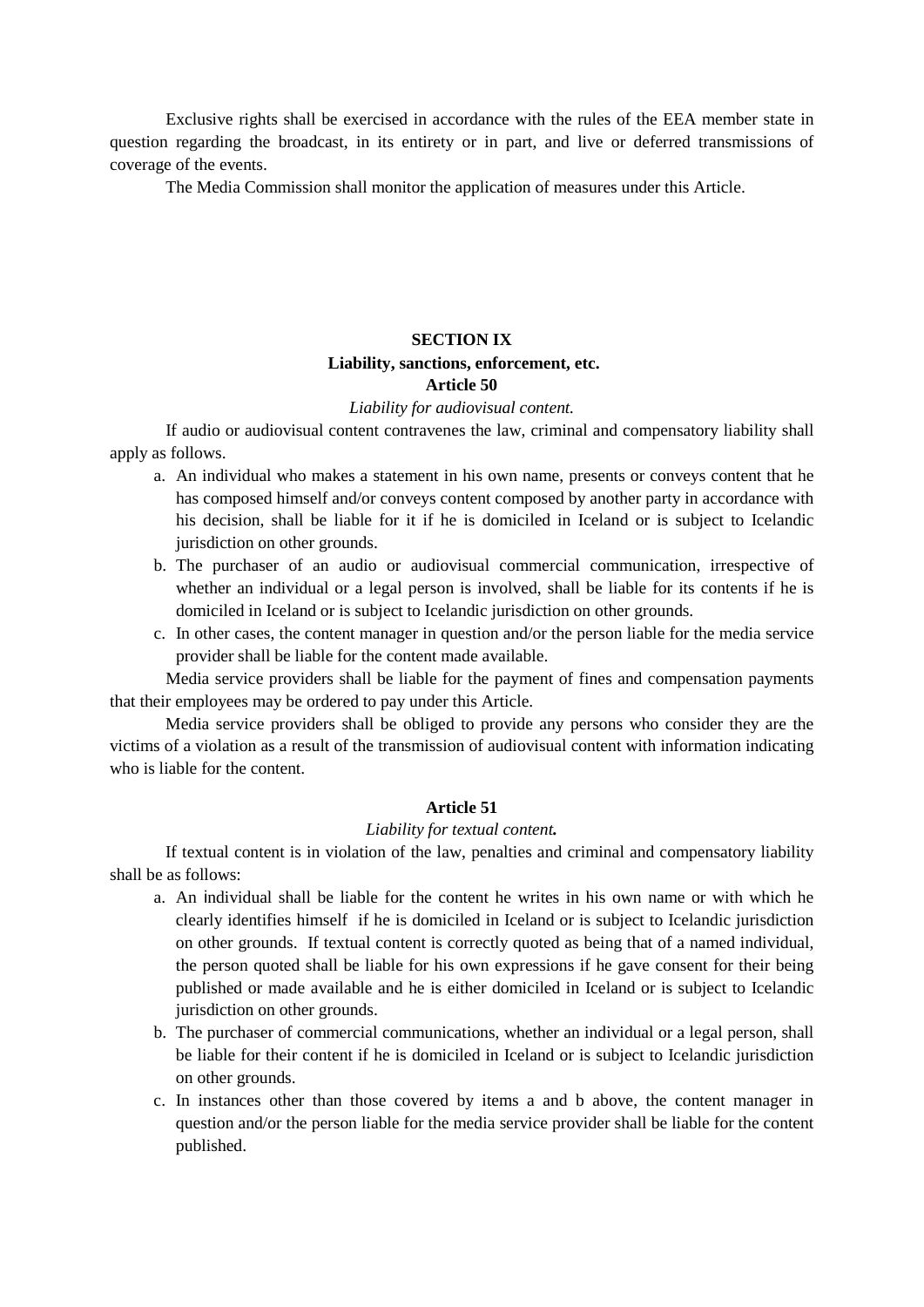Exclusive rights shall be exercised in accordance with the rules of the EEA member state in question regarding the broadcast, in its entirety or in part, and live or deferred transmissions of coverage of the events.

The Media Commission shall monitor the application of measures under this Article.

# **SECTION IX**

#### **Liability, sanctions, enforcement, etc. Article 50**

# *Liability for audiovisual content.*

If audio or audiovisual content contravenes the law, criminal and compensatory liability shall apply as follows.

- a. An individual who makes a statement in his own name, presents or conveys content that he has composed himself and/or conveys content composed by another party in accordance with his decision, shall be liable for it if he is domiciled in Iceland or is subject to Icelandic jurisdiction on other grounds.
- b. The purchaser of an audio or audiovisual commercial communication, irrespective of whether an individual or a legal person is involved, shall be liable for its contents if he is domiciled in Iceland or is subject to Icelandic jurisdiction on other grounds.
- c. In other cases, the content manager in question and/or the person liable for the media service provider shall be liable for the content made available.

Media service providers shall be liable for the payment of fines and compensation payments that their employees may be ordered to pay under this Article.

Media service providers shall be obliged to provide any persons who consider they are the victims of a violation as a result of the transmission of audiovisual content with information indicating who is liable for the content.

# **Article 51**

#### *Liability for textual content.*

If textual content is in violation of the law, penalties and criminal and compensatory liability shall be as follows:

- a. An individual shall be liable for the content he writes in his own name or with which he clearly identifies himself if he is domiciled in Iceland or is subject to Icelandic jurisdiction on other grounds. If textual content is correctly quoted as being that of a named individual, the person quoted shall be liable for his own expressions if he gave consent for their being published or made available and he is either domiciled in Iceland or is subject to Icelandic jurisdiction on other grounds.
- b. The purchaser of commercial communications, whether an individual or a legal person, shall be liable for their content if he is domiciled in Iceland or is subject to Icelandic jurisdiction on other grounds.
- c. In instances other than those covered by items a and b above, the content manager in question and/or the person liable for the media service provider shall be liable for the content published.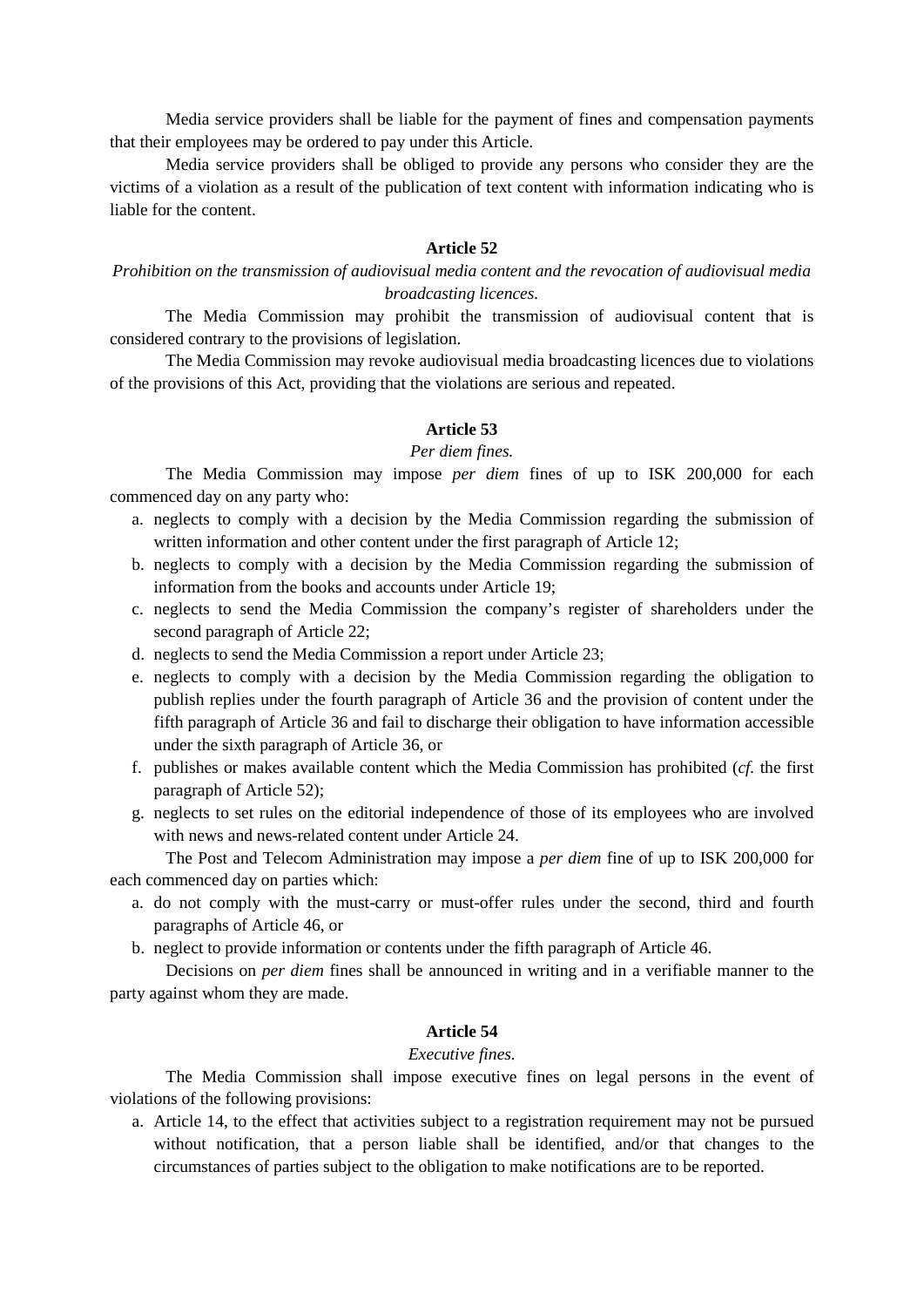Media service providers shall be liable for the payment of fines and compensation payments that their employees may be ordered to pay under this Article.

Media service providers shall be obliged to provide any persons who consider they are the victims of a violation as a result of the publication of text content with information indicating who is liable for the content.

# **Article 52**

*Prohibition on the transmission of audiovisual media content and the revocation of audiovisual media broadcasting licences.*

The Media Commission may prohibit the transmission of audiovisual content that is considered contrary to the provisions of legislation.

The Media Commission may revoke audiovisual media broadcasting licences due to violations of the provisions of this Act, providing that the violations are serious and repeated.

#### **Article 53**

#### *Per diem fines.*

The Media Commission may impose *per diem* fines of up to ISK 200,000 for each commenced day on any party who:

- a. neglects to comply with a decision by the Media Commission regarding the submission of written information and other content under the first paragraph of Article 12;
- b. neglects to comply with a decision by the Media Commission regarding the submission of information from the books and accounts under Article 19;
- c. neglects to send the Media Commission the company's register of shareholders under the second paragraph of Article 22;
- d. neglects to send the Media Commission a report under Article 23;
- e. neglects to comply with a decision by the Media Commission regarding the obligation to publish replies under the fourth paragraph of Article 36 and the provision of content under the fifth paragraph of Article 36 and fail to discharge their obligation to have information accessible under the sixth paragraph of Article 36, or
- f. publishes or makes available content which the Media Commission has prohibited (*cf.* the first paragraph of Article 52);
- g. neglects to set rules on the editorial independence of those of its employees who are involved with news and news-related content under Article 24.

The Post and Telecom Administration may impose a *per diem* fine of up to ISK 200,000 for each commenced day on parties which:

- a. do not comply with the must-carry or must-offer rules under the second, third and fourth paragraphs of Article 46, or
- b. neglect to provide information or contents under the fifth paragraph of Article 46.

Decisions on *per diem* fines shall be announced in writing and in a verifiable manner to the party against whom they are made.

#### **Article 54**

#### *Executive fines.*

The Media Commission shall impose executive fines on legal persons in the event of violations of the following provisions:

a. Article 14, to the effect that activities subject to a registration requirement may not be pursued without notification, that a person liable shall be identified, and/or that changes to the circumstances of parties subject to the obligation to make notifications are to be reported.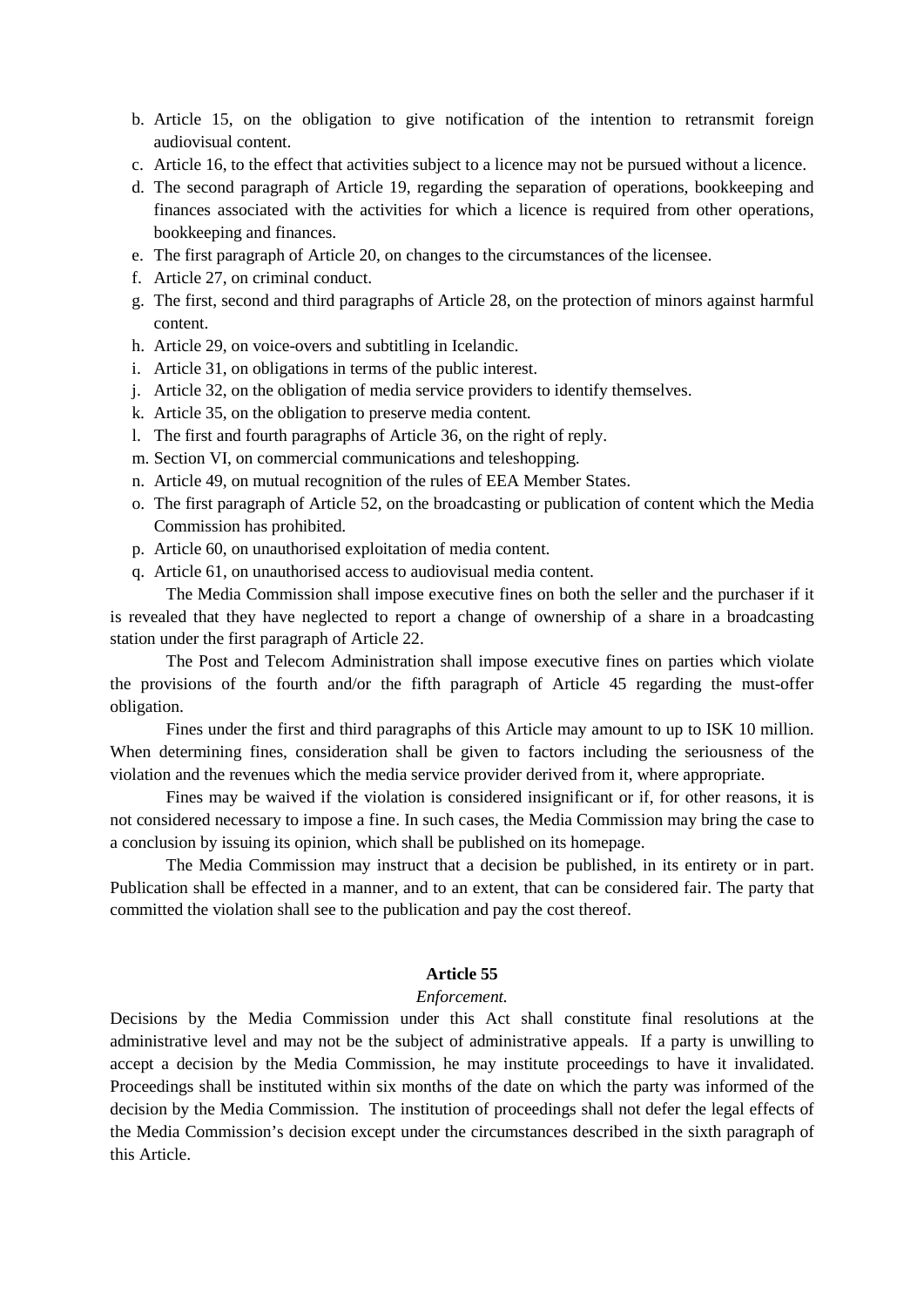- b. Article 15, on the obligation to give notification of the intention to retransmit foreign audiovisual content.
- c. Article 16, to the effect that activities subject to a licence may not be pursued without a licence.
- d. The second paragraph of Article 19, regarding the separation of operations, bookkeeping and finances associated with the activities for which a licence is required from other operations, bookkeeping and finances.
- e. The first paragraph of Article 20, on changes to the circumstances of the licensee.
- f. Article 27, on criminal conduct.
- g. The first, second and third paragraphs of Article 28, on the protection of minors against harmful content.
- h. Article 29, on voice-overs and subtitling in Icelandic.
- i. Article 31, on obligations in terms of the public interest.
- j. Article 32, on the obligation of media service providers to identify themselves.
- k. Article 35, on the obligation to preserve media content.
- l. The first and fourth paragraphs of Article 36, on the right of reply.
- m. Section VI, on commercial communications and teleshopping.
- n. Article 49, on mutual recognition of the rules of EEA Member States.
- o. The first paragraph of Article 52, on the broadcasting or publication of content which the Media Commission has prohibited.
- p. Article 60, on unauthorised exploitation of media content.
- q. Article 61, on unauthorised access to audiovisual media content.

The Media Commission shall impose executive fines on both the seller and the purchaser if it is revealed that they have neglected to report a change of ownership of a share in a broadcasting station under the first paragraph of Article 22.

The Post and Telecom Administration shall impose executive fines on parties which violate the provisions of the fourth and/or the fifth paragraph of Article 45 regarding the must-offer obligation.

Fines under the first and third paragraphs of this Article may amount to up to ISK 10 million. When determining fines, consideration shall be given to factors including the seriousness of the violation and the revenues which the media service provider derived from it, where appropriate.

Fines may be waived if the violation is considered insignificant or if, for other reasons, it is not considered necessary to impose a fine. In such cases, the Media Commission may bring the case to a conclusion by issuing its opinion, which shall be published on its homepage.

The Media Commission may instruct that a decision be published, in its entirety or in part. Publication shall be effected in a manner, and to an extent, that can be considered fair. The party that committed the violation shall see to the publication and pay the cost thereof.

### **Article 55**

#### *Enforcement.*

Decisions by the Media Commission under this Act shall constitute final resolutions at the administrative level and may not be the subject of administrative appeals. If a party is unwilling to accept a decision by the Media Commission, he may institute proceedings to have it invalidated. Proceedings shall be instituted within six months of the date on which the party was informed of the decision by the Media Commission. The institution of proceedings shall not defer the legal effects of the Media Commission's decision except under the circumstances described in the sixth paragraph of this Article.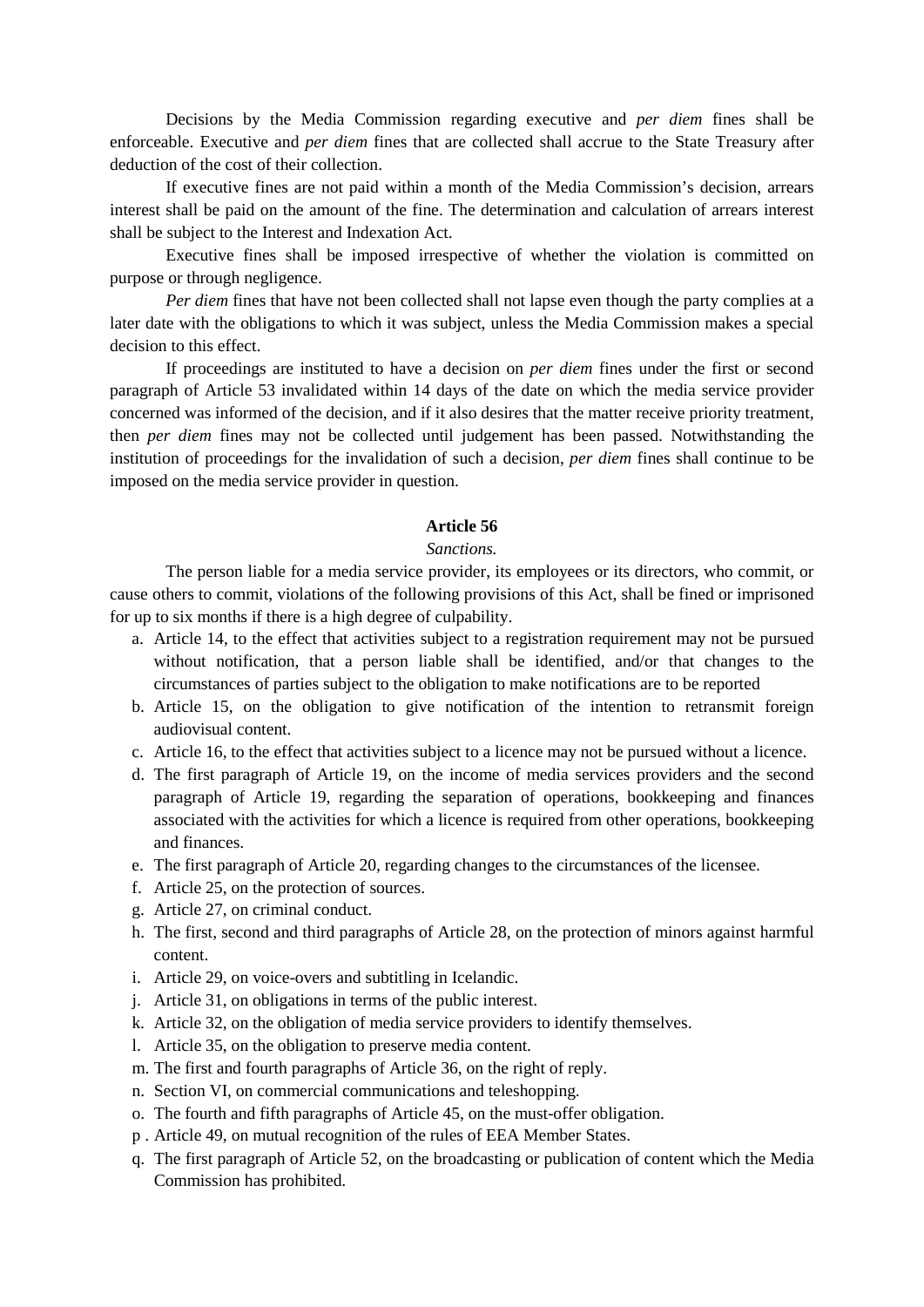Decisions by the Media Commission regarding executive and *per diem* fines shall be enforceable. Executive and *per diem* fines that are collected shall accrue to the State Treasury after deduction of the cost of their collection.

If executive fines are not paid within a month of the Media Commission's decision, arrears interest shall be paid on the amount of the fine. The determination and calculation of arrears interest shall be subject to the Interest and Indexation Act.

Executive fines shall be imposed irrespective of whether the violation is committed on purpose or through negligence.

*Per diem* fines that have not been collected shall not lapse even though the party complies at a later date with the obligations to which it was subject, unless the Media Commission makes a special decision to this effect.

If proceedings are instituted to have a decision on *per diem* fines under the first or second paragraph of Article 53 invalidated within 14 days of the date on which the media service provider concerned was informed of the decision, and if it also desires that the matter receive priority treatment, then *per diem* fines may not be collected until judgement has been passed. Notwithstanding the institution of proceedings for the invalidation of such a decision, *per diem* fines shall continue to be imposed on the media service provider in question.

# **Article 56**

## *Sanctions.*

The person liable for a media service provider, its employees or its directors, who commit, or cause others to commit, violations of the following provisions of this Act, shall be fined or imprisoned for up to six months if there is a high degree of culpability.

- a. Article 14, to the effect that activities subject to a registration requirement may not be pursued without notification, that a person liable shall be identified, and/or that changes to the circumstances of parties subject to the obligation to make notifications are to be reported
- b. Article 15, on the obligation to give notification of the intention to retransmit foreign audiovisual content.
- c. Article 16, to the effect that activities subject to a licence may not be pursued without a licence.
- d. The first paragraph of Article 19, on the income of media services providers and the second paragraph of Article 19, regarding the separation of operations, bookkeeping and finances associated with the activities for which a licence is required from other operations, bookkeeping and finances.
- e. The first paragraph of Article 20, regarding changes to the circumstances of the licensee.
- f. Article 25, on the protection of sources.
- g. Article 27, on criminal conduct.
- h. The first, second and third paragraphs of Article 28, on the protection of minors against harmful content.
- i. Article 29, on voice-overs and subtitling in Icelandic.
- j. Article 31, on obligations in terms of the public interest.
- k. Article 32, on the obligation of media service providers to identify themselves.
- l. Article 35, on the obligation to preserve media content.
- m. The first and fourth paragraphs of Article 36, on the right of reply.
- n. Section VI, on commercial communications and teleshopping.
- o. The fourth and fifth paragraphs of Article 45, on the must-offer obligation.
- p . Article 49, on mutual recognition of the rules of EEA Member States.
- q. The first paragraph of Article 52, on the broadcasting or publication of content which the Media Commission has prohibited.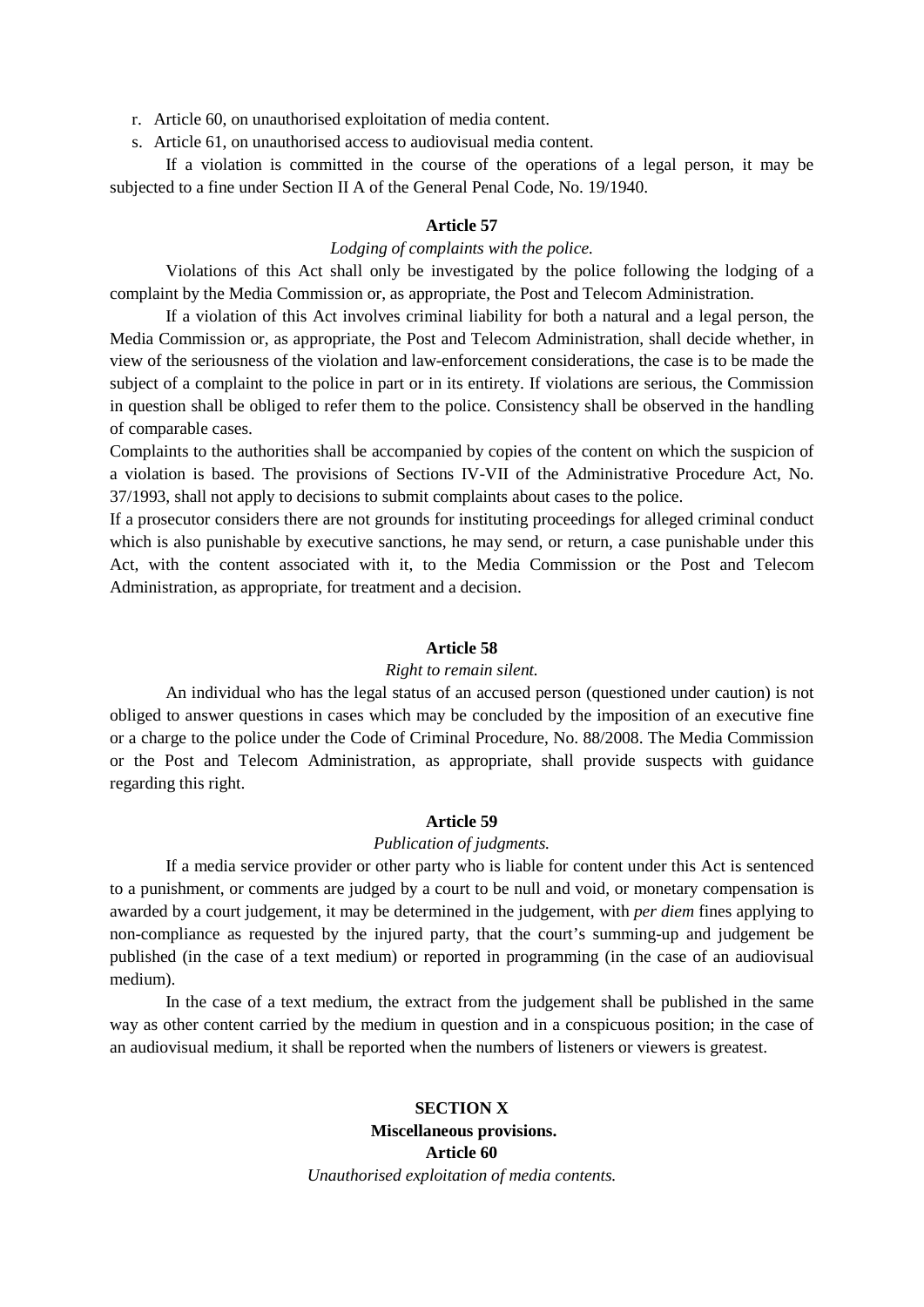r. Article 60, on unauthorised exploitation of media content.

s. Article 61, on unauthorised access to audiovisual media content.

If a violation is committed in the course of the operations of a legal person, it may be subjected to a fine under Section II A of the General Penal Code, No. 19/1940.

## **Article 57**

# *Lodging of complaints with the police.*

Violations of this Act shall only be investigated by the police following the lodging of a complaint by the Media Commission or, as appropriate, the Post and Telecom Administration.

If a violation of this Act involves criminal liability for both a natural and a legal person, the Media Commission or, as appropriate, the Post and Telecom Administration, shall decide whether, in view of the seriousness of the violation and law-enforcement considerations, the case is to be made the subject of a complaint to the police in part or in its entirety. If violations are serious, the Commission in question shall be obliged to refer them to the police. Consistency shall be observed in the handling of comparable cases.

Complaints to the authorities shall be accompanied by copies of the content on which the suspicion of a violation is based. The provisions of Sections IV-VII of the Administrative Procedure Act, No. 37/1993, shall not apply to decisions to submit complaints about cases to the police.

If a prosecutor considers there are not grounds for instituting proceedings for alleged criminal conduct which is also punishable by executive sanctions, he may send, or return, a case punishable under this Act, with the content associated with it, to the Media Commission or the Post and Telecom Administration, as appropriate, for treatment and a decision.

#### **Article 58**

#### *Right to remain silent.*

An individual who has the legal status of an accused person (questioned under caution) is not obliged to answer questions in cases which may be concluded by the imposition of an executive fine or a charge to the police under the Code of Criminal Procedure, No. 88/2008. The Media Commission or the Post and Telecom Administration, as appropriate, shall provide suspects with guidance regarding this right.

#### **Article 59**

## *Publication of judgments.*

If a media service provider or other party who is liable for content under this Act is sentenced to a punishment, or comments are judged by a court to be null and void, or monetary compensation is awarded by a court judgement, it may be determined in the judgement, with *per diem* fines applying to non-compliance as requested by the injured party, that the court's summing-up and judgement be published (in the case of a text medium) or reported in programming (in the case of an audiovisual medium).

In the case of a text medium, the extract from the judgement shall be published in the same way as other content carried by the medium in question and in a conspicuous position; in the case of an audiovisual medium, it shall be reported when the numbers of listeners or viewers is greatest.

# **SECTION X Miscellaneous provisions. Article 60** *Unauthorised exploitation of media contents.*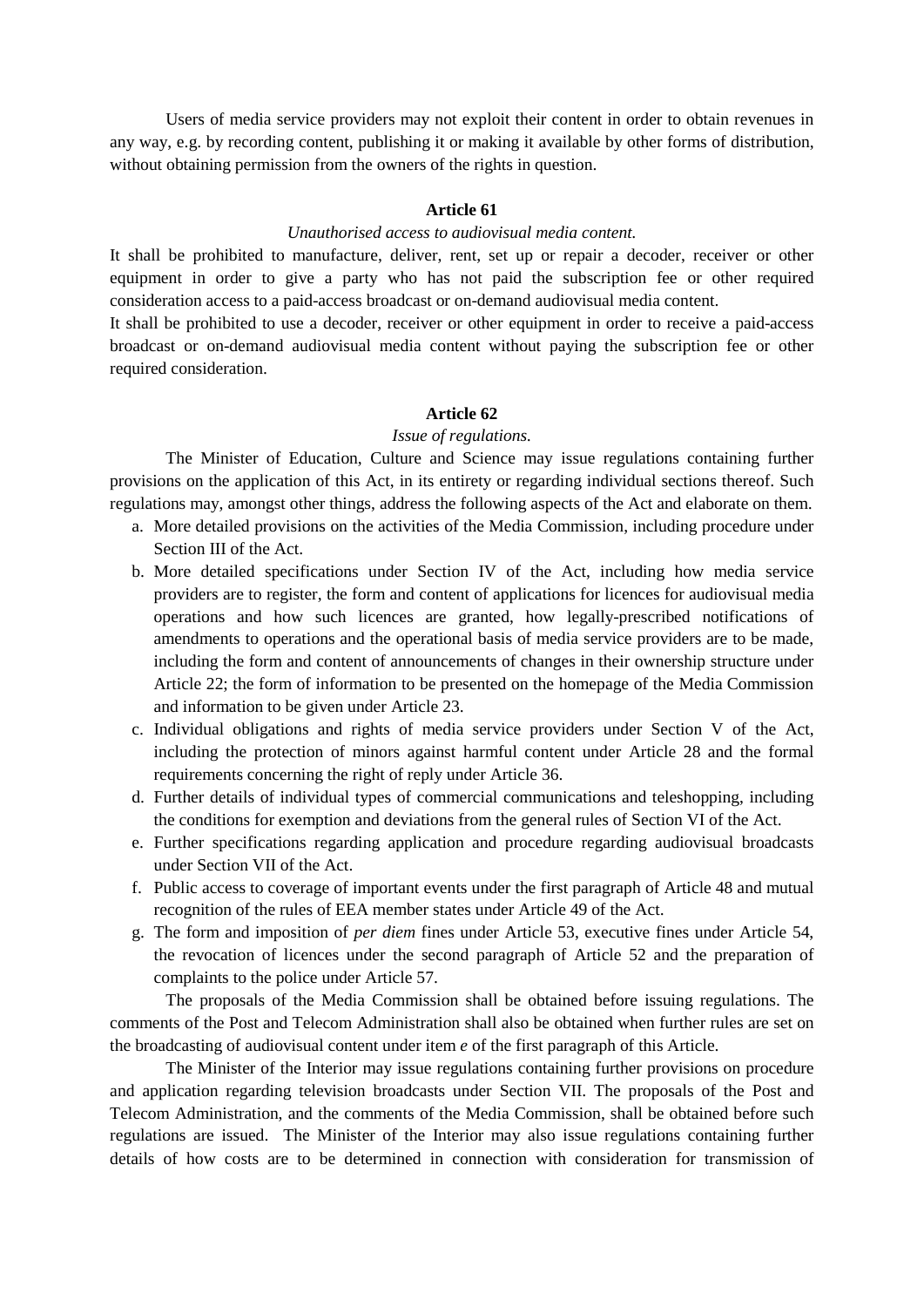Users of media service providers may not exploit their content in order to obtain revenues in any way, e.g. by recording content, publishing it or making it available by other forms of distribution, without obtaining permission from the owners of the rights in question.

## **Article 61**

## *Unauthorised access to audiovisual media content.*

It shall be prohibited to manufacture, deliver, rent, set up or repair a decoder, receiver or other equipment in order to give a party who has not paid the subscription fee or other required consideration access to a paid-access broadcast or on-demand audiovisual media content.

It shall be prohibited to use a decoder, receiver or other equipment in order to receive a paid-access broadcast or on-demand audiovisual media content without paying the subscription fee or other required consideration.

#### **Article 62**

#### *Issue of regulations.*

The Minister of Education, Culture and Science may issue regulations containing further provisions on the application of this Act, in its entirety or regarding individual sections thereof. Such regulations may, amongst other things, address the following aspects of the Act and elaborate on them.

- a. More detailed provisions on the activities of the Media Commission, including procedure under Section III of the Act.
- b. More detailed specifications under Section IV of the Act, including how media service providers are to register, the form and content of applications for licences for audiovisual media operations and how such licences are granted, how legally-prescribed notifications of amendments to operations and the operational basis of media service providers are to be made, including the form and content of announcements of changes in their ownership structure under Article 22; the form of information to be presented on the homepage of the Media Commission and information to be given under Article 23.
- c. Individual obligations and rights of media service providers under Section V of the Act, including the protection of minors against harmful content under Article 28 and the formal requirements concerning the right of reply under Article 36.
- d. Further details of individual types of commercial communications and teleshopping, including the conditions for exemption and deviations from the general rules of Section VI of the Act.
- e. Further specifications regarding application and procedure regarding audiovisual broadcasts under Section VII of the Act.
- f. Public access to coverage of important events under the first paragraph of Article 48 and mutual recognition of the rules of EEA member states under Article 49 of the Act.
- g. The form and imposition of *per diem* fines under Article 53, executive fines under Article 54, the revocation of licences under the second paragraph of Article 52 and the preparation of complaints to the police under Article 57.

The proposals of the Media Commission shall be obtained before issuing regulations. The comments of the Post and Telecom Administration shall also be obtained when further rules are set on the broadcasting of audiovisual content under item *e* of the first paragraph of this Article.

The Minister of the Interior may issue regulations containing further provisions on procedure and application regarding television broadcasts under Section VII. The proposals of the Post and Telecom Administration, and the comments of the Media Commission, shall be obtained before such regulations are issued. The Minister of the Interior may also issue regulations containing further details of how costs are to be determined in connection with consideration for transmission of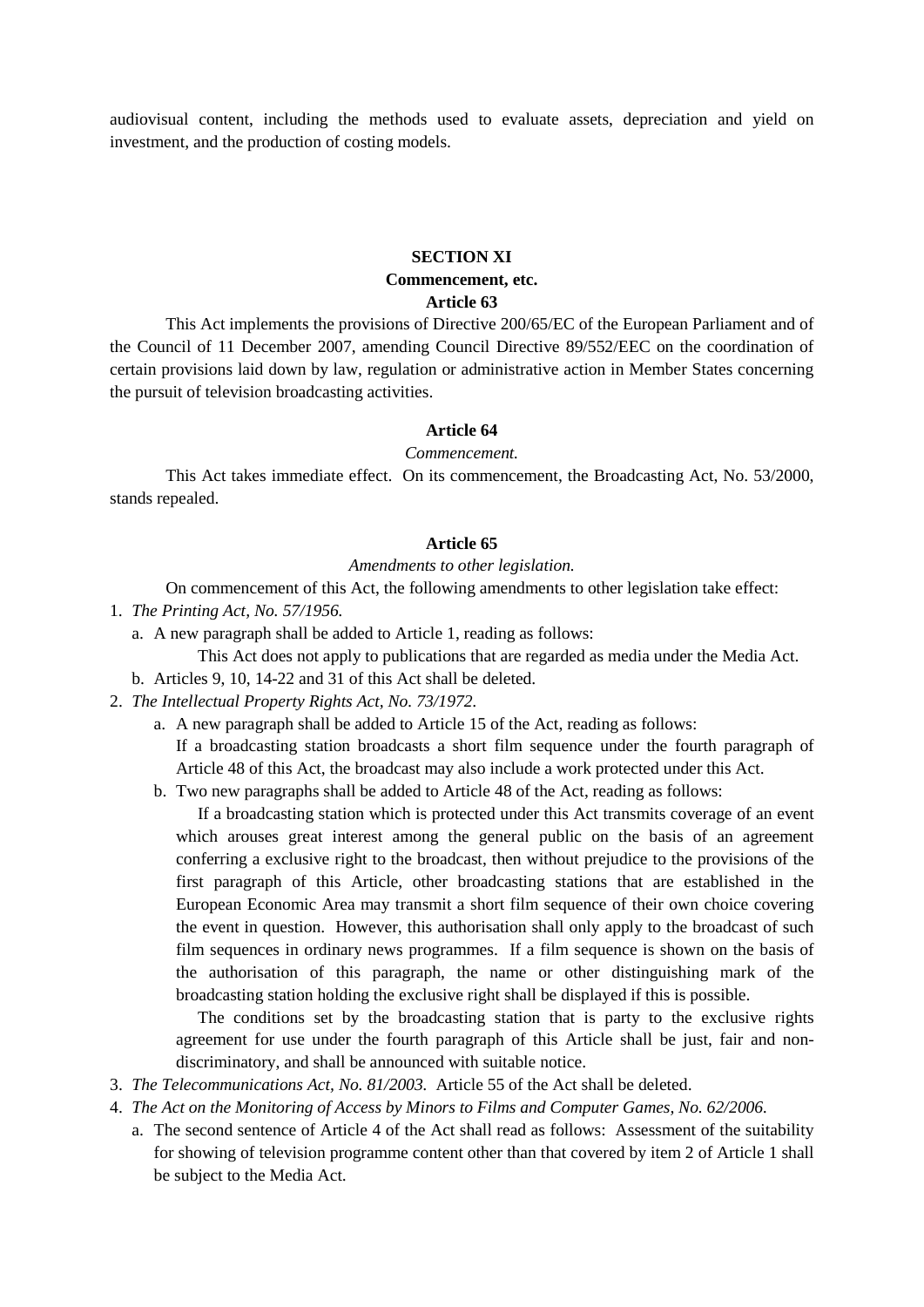audiovisual content, including the methods used to evaluate assets, depreciation and yield on investment, and the production of costing models.

# **SECTION XI Commencement, etc. Article 63**

This Act implements the provisions of Directive 200/65/EC of the European Parliament and of the Council of 11 December 2007, amending Council Directive 89/552/EEC on the coordination of certain provisions laid down by law, regulation or administrative action in Member States concerning the pursuit of television broadcasting activities.

#### **Article 64**

#### *Commencement.*

This Act takes immediate effect. On its commencement, the Broadcasting Act, No. 53/2000, stands repealed.

#### **Article 65**

#### *Amendments to other legislation.*

On commencement of this Act, the following amendments to other legislation take effect:

- 1. *The Printing Act, No. 57/1956.*
	- a. A new paragraph shall be added to Article 1, reading as follows:

This Act does not apply to publications that are regarded as media under the Media Act.

- b. Articles 9, 10, 14-22 and 31 of this Act shall be deleted.
- 2. *The Intellectual Property Rights Act, No. 73/1972*.
	- a. A new paragraph shall be added to Article 15 of the Act, reading as follows:

If a broadcasting station broadcasts a short film sequence under the fourth paragraph of Article 48 of this Act, the broadcast may also include a work protected under this Act.

b. Two new paragraphs shall be added to Article 48 of the Act, reading as follows:

If a broadcasting station which is protected under this Act transmits coverage of an event which arouses great interest among the general public on the basis of an agreement conferring a exclusive right to the broadcast, then without prejudice to the provisions of the first paragraph of this Article, other broadcasting stations that are established in the European Economic Area may transmit a short film sequence of their own choice covering the event in question. However, this authorisation shall only apply to the broadcast of such film sequences in ordinary news programmes. If a film sequence is shown on the basis of the authorisation of this paragraph, the name or other distinguishing mark of the broadcasting station holding the exclusive right shall be displayed if this is possible.

The conditions set by the broadcasting station that is party to the exclusive rights agreement for use under the fourth paragraph of this Article shall be just, fair and nondiscriminatory, and shall be announced with suitable notice.

- 3. *The Telecommunications Act, No. 81/2003.* Article 55 of the Act shall be deleted.
- 4. *The Act on the Monitoring of Access by Minors to Films and Computer Games, No. 62/2006.*
	- a. The second sentence of Article 4 of the Act shall read as follows: Assessment of the suitability for showing of television programme content other than that covered by item 2 of Article 1 shall be subject to the Media Act.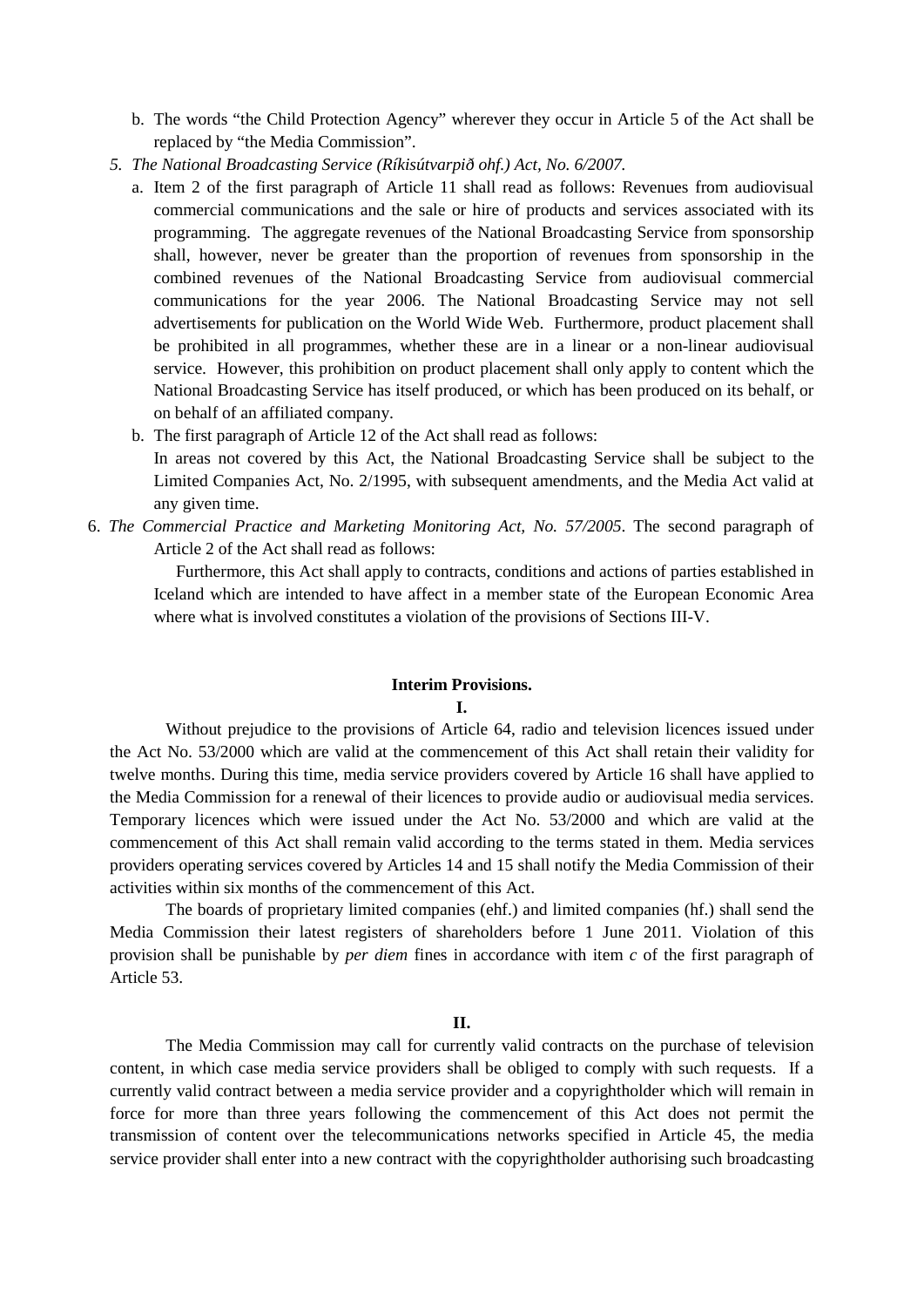- b. The words "the Child Protection Agency" wherever they occur in Article 5 of the Act shall be replaced by "the Media Commission".
- *5. The National Broadcasting Service (Ríkisútvarpið ohf.) Act, No. 6/2007.*
	- a. Item 2 of the first paragraph of Article 11 shall read as follows: Revenues from audiovisual commercial communications and the sale or hire of products and services associated with its programming. The aggregate revenues of the National Broadcasting Service from sponsorship shall, however, never be greater than the proportion of revenues from sponsorship in the combined revenues of the National Broadcasting Service from audiovisual commercial communications for the year 2006. The National Broadcasting Service may not sell advertisements for publication on the World Wide Web. Furthermore, product placement shall be prohibited in all programmes, whether these are in a linear or a non-linear audiovisual service. However, this prohibition on product placement shall only apply to content which the National Broadcasting Service has itself produced, or which has been produced on its behalf, or on behalf of an affiliated company.
	- b. The first paragraph of Article 12 of the Act shall read as follows:

In areas not covered by this Act, the National Broadcasting Service shall be subject to the Limited Companies Act, No. 2/1995, with subsequent amendments, and the Media Act valid at any given time.

6. *The Commercial Practice and Marketing Monitoring Act, No. 57/2005*. The second paragraph of Article 2 of the Act shall read as follows:

Furthermore, this Act shall apply to contracts, conditions and actions of parties established in Iceland which are intended to have affect in a member state of the European Economic Area where what is involved constitutes a violation of the provisions of Sections III-V.

#### **Interim Provisions. I.**

Without prejudice to the provisions of Article 64, radio and television licences issued under the Act No. 53/2000 which are valid at the commencement of this Act shall retain their validity for twelve months. During this time, media service providers covered by Article 16 shall have applied to the Media Commission for a renewal of their licences to provide audio or audiovisual media services. Temporary licences which were issued under the Act No. 53/2000 and which are valid at the commencement of this Act shall remain valid according to the terms stated in them. Media services providers operating services covered by Articles 14 and 15 shall notify the Media Commission of their activities within six months of the commencement of this Act.

The boards of proprietary limited companies (ehf.) and limited companies (hf.) shall send the Media Commission their latest registers of shareholders before 1 June 2011. Violation of this provision shall be punishable by *per diem* fines in accordance with item *c* of the first paragraph of Article 53.

#### **II.**

The Media Commission may call for currently valid contracts on the purchase of television content, in which case media service providers shall be obliged to comply with such requests. If a currently valid contract between a media service provider and a copyrightholder which will remain in force for more than three years following the commencement of this Act does not permit the transmission of content over the telecommunications networks specified in Article 45, the media service provider shall enter into a new contract with the copyrightholder authorising such broadcasting